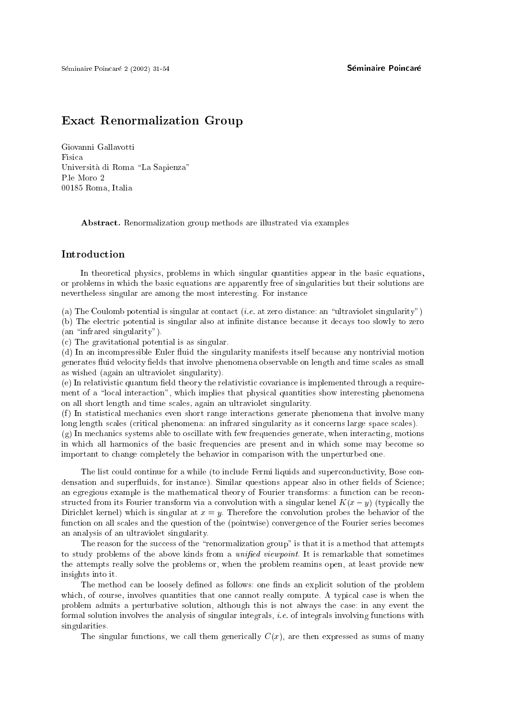# Exa
t Renormalization Group

Giovanni Gallavotti Fisi
a Università di Roma "La Sapienza" P.le Moro 2 00185 Roma, Italia

Abstract. Renormalization group methods are illustrated via examples

# **Introduction**

In theoretical physics, problems in which singular quantities appear in the basic equations, or problems in which the basic equations are apparently free of singularities but their solutions are nevertheless singular are among the most interesting. For instan
e

(a) The Coulomb potential is singular at contact (*i.e.* at zero distance: an "ultraviolet singularity") (b) The electric potential is singular also at infinite distance because it decays too slowly to zero  $(an \text{ "infrared singularity").$ 

(
) The gravitational potential is as singular.

(d) In an incompressible Euler fluid the singularity manifests itself because any nontrivial motion generates fluid velocity fields that involve phenomena observable on length and time scales as small as wished (again an ultraviolet singularity).

(e) In relativistic quantum field theory the relativistic covariance is implemented through a requirement of a "local interaction", which implies that physical quantities show interesting phenomena on all short length and time s
ales, again an ultraviolet singularity.

(f ) In statisti
al me
hani
s even short range intera
tions generate phenomena that involve many long length scales (critical phenomena: an infrared singularity as it concerns large space scales).

(g) In me
hani
s systems able to os
illate with few frequen
ies generate, when intera
ting, motions in which all harmonics of the basic frequencies are present and in which some may become so important to hange ompletely the behavior in omparison with the unperturbed one.

The list could continue for a while (to include Fermi liquids and superconductivity, Bose condensation and superfluids, for instance). Similar questions appear also in other fields of Science; an egregious example is the mathematical theory of Fourier transforms: a function can be reconstructed from its Fourier transform via a convolution with a singular kenel  $K(x - y)$  (typically the Dirichlet kernel) which is singular at  $x = y$ . Therefore the convolution probes the behavior of the function on all scales and the question of the (pointwise) convergence of the Fourier series becomes an analysis of an ultraviolet singularity.

The reason for the success of the "renormalization group" is that it is a method that attempts to study problems of the above kinds from a *unified viewpoint*. It is remarkable that sometimes the attempts really solve the problems or, when the problem reamins open, at least provide new insights into it.

The method can be loosely defined as follows: one finds an explicit solution of the problem which, of course, involves quantities that one cannot really compute. A typical case is when the problem admits a perturbative solution, although this is not always the ase: in any event the formal solution involves the analysis of singular integrals, *i.e.* of integrals involving functions with singularities.

The singular functions, we call them generically  $C(x)$ , are then expressed as sums of many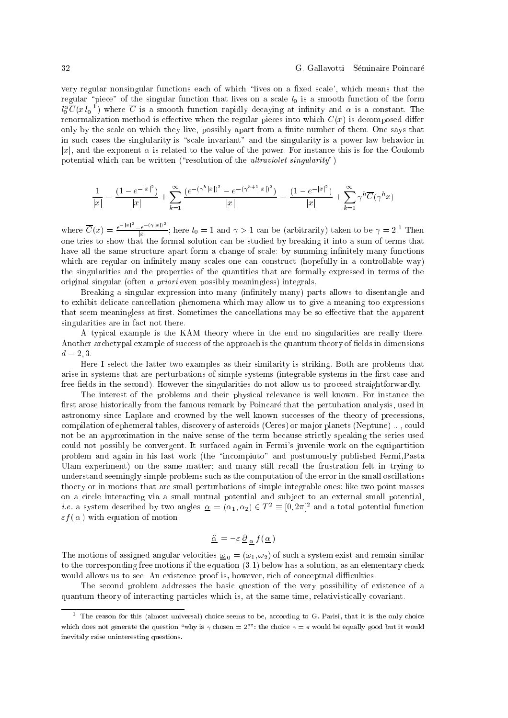very regular nonsingular functions each of which "lives on a fixed scale', which means that the regular "piece" of the singular function that lives on a scale  $l_0$  is a smooth function of the form  $l_0^{\alpha}C(x\,l_0^{-1})$  where C is a smooth function rapidly decaying at infinity and  $\alpha$  is a constant. The renormalization method is effective when the regular pieces into which  $C(x)$  is decomposed differ only by the scale on which they live, possibly apart from a finite number of them. One says that in such cases the singlularity is "scale invariant" and the singularity is a power law behavior in |x|, and the exponent  $\alpha$  is related to the value of the power. For instance this is for the Coulomb potential which can be written ("resolution of the *ultraviolet singularity*")

$$
\frac{1}{|x|}=\frac{(1-e^{-|x|^2})}{|x|}+\sum_{k=1}^\infty\frac{(e^{-(\gamma^h|x|)^2}-e^{-(\gamma^{h+1}|x|)^2})}{|x|}=\frac{(1-e^{-|x|^2})}{|x|}+\sum_{k=1}^\infty\gamma^h\overline{C}(\gamma^hx)
$$

where  $\overline{C}(x) = \frac{e^{-|x|} - e^{-|x|}|y|^2}{2}$  $\frac{e^{-\epsilon(1+\epsilon)}}{|x|}$ ; here  $l_0=1$  and  $\gamma>1$  can be (arbitrarily) taken to be  $\gamma=2.1$  Then one tries to show that the formal solution it into a sum of terms that  $\gamma$  is into a sum of terms that the sum have all the same structure apart form a change of scale: by summing infinitely many functions which are regular on infinitely many scales one can construct (hopefully in a controllable way) the singularities and the properties of the quantities that are formally expressed in terms of the original singular (often a priori even possibly meaningless) integrals.

Breaking a singular expression into many (infinitely many) parts allows to disentangle and to exhibit delicate cancellation phenomena which may allow us to give a meaning too expressions that seem meaningless at first. Sometimes the cancellations may be so effective that the apparent singularities are in fact not there.

A typi
al example is the KAM theory where in the end no singularities are really there. Another archetypal example of success of the approach is the quantum theory of fields in dimensions  $d = 2, 3.$ 

Here I sele
t the latter two examples as their similarity is striking. Both are problems that arise in systems that are perturbations of simple systems (integrable systems in the first case and free fields in the second). However the singularities do not allow us to proceed straightforwardly.

The interest of the problems and their physi
al relevan
e is well known. For instan
e the first arose historically from the famous remark by Poincaré that the pertubation analysis, used in astronomy since Laplace and crowned by the well known successes of the theory of precessions, compilation of ephemeral tables, discovery of asteroids (Ceres) or major planets (Neptune) ..., could not be an approximation in the naive sense of the term because strictly speaking the series used could not possibly be convergent. It surfaced again in Fermi's juvenile work on the equipartition problem and again in his last work (the "incompiuto" and postumously published Fermi, Pasta Ulam experiment) on the same matter; and many still recall the frustration felt in trying to understand seemingly simple problems such as the computation of the error in the small oscillations thoery or in motions that are small perturbations of simple integrable ones: like two point masses on a circle interacting via a small mutual potential and subject to an external small potential, *i.e.* a system described by two angles  $\alpha = (\alpha_1, \alpha_2) \in T^2 \equiv [0, 2\pi]^2$  and a total potential function  $\varepsilon f(\alpha)$  with equation of motion

$$
\underline{\ddot{\alpha}} = -\varepsilon \, \underline{\partial}_{\alpha} \, f(\underline{\alpha})
$$

The motions of assigned angular velocities  $\omega_0 = (\omega_1, \omega_2)$  of such a system exist and remain similar to the corresponding free motions if the equation  $(3.1)$  below has a solution, as an elementary check would allows us to see. An existence proof is, however, rich of conceptual difficulties.

The se
ond problem addresses the basi question of the very possibility of existen
e of a quantum theory of intera
ting parti
les whi
h is, at the same time, relativisti
ally ovariant.

 $^{\circ}$  The reason for this (almost universal) choice seems to be, according to G. Parisi, that it is the only choice which does not generate the question "why is  $\gamma$  chosen = 2?": the choice  $\gamma = \pi$  would be equally good but it would inevitaly raise uninteresting questions.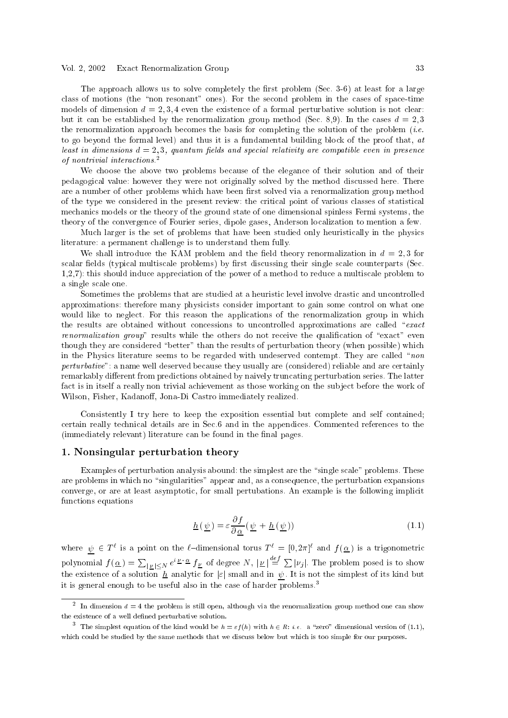#### Vol. 2, 2002 Exact Renormalization Group

The approach allows us to solve completely the first problem (Sec. 3-6) at least for a large class of motions (the "non resonant" ones). For the second problem in the cases of space-time models of dimension  $d = 2, 3, 4$  even the existence of a formal perturbative solution is not clear: but it can be established by the renormalization group method (Sec. 8.9). In the cases  $d = 2, 3$ the renormalization approach becomes the basis for completing the solution of the problem  $(i.e.$ to go beyond the formal level) and thus it is a fundamental building block of the proof that, at least in dimensions  $d = 2, 3$ , quantum fields and special relativity are compatible even in presence of nontrivial interactions.

We choose the above two problems because of the elegance of their solution and of their pedagogi
al value: however they were not originally solved by the method dis
ussed here. There are a number of other problems which have been first solved via a renormalization group method of the type we considered in the present review: the critical point of various classes of statistical me
hani
s models or the theory of the ground state of one dimensional spinless Fermi systems, the theory of the onvergen
e of Fourier series, dipole gases, Anderson lo
alization to mention a few.

Much larger is the set of problems that have been studied only heuristically in the physics literature: a permanent hallenge is to understand them fully.

We shall introduce the KAM problem and the field theory renormalization in  $d = 2, 3$  for scalar fields (typical multiscale problems) by first discussing their single scale counterparts (Sec. 1,2,7): this should indu
e appre
iation of the power of a method to redu
e a multis
ale problem to a single s
ale one.

Sometimes the problems that are studied at a heuristic level involve drastic and uncontrolled approximations: therefore many physi
ists onsider important to gain some ontrol on what one would like to neglect. For this reason the applications of the renormalization group in which the results are obtained without concessions to uncontrolled approximations are called "exact" renormalization group" results while the others do not receive the qualification of "exact" even though they are considered "better" than the results of perturbation theory (when possible) which in the Physics literature seems to be regarded with undeserved contempt. They are called "non perturbative": a name well deserved because they usually are (considered) reliable and are certainly remarkably different from predictions obtained by naively truncating perturbation series. The latter fact is in itself a really non trivial achievement as those working on the subject before the work of Wilson, Fisher, Kadanoff, Jona-Di Castro immediately realized.

Consistently I try here to keep the exposition essential but complete and self contained; ertain really te
hni
al details are in Se
.6 and in the appendi
es. Commented referen
es to the (immediately relevant) literature can be found in the final pages.

### 1. Nonsingular perturbation theory

Examples of perturbation analysis abound: the simplest are the "single scale" problems. These are problems in which no "singularities" appear and, as a consequence, the perturbation expansions converge, or are at least asymptotic, for small pertubations. An example is the following implicit fun
tions equations

$$
\underline{h}(\underline{\psi}) = \varepsilon \frac{\partial f}{\partial \underline{\alpha}} (\underline{\psi} + \underline{h}(\underline{\psi})) \tag{1.1}
$$

where  $\psi \in T^{\ell}$  is a point on the  $\ell$ -dimensional torus  $T^{\ell} = [0, 2\pi]^{\ell}$  and  $f(\underline{\alpha})$  is a trigonometric polynomial  $f(\underline{\alpha}) = \sum_{|\nu| \leq N} e^{i \underline{\nu} \cdot \underline{\alpha}} f_{\underline{\nu}}$  of degree  $N, |\underline{\nu}| \stackrel{def}{=} \sum |\nu_j|$ . The problem posed is to show the existence of a solution  $\underline{h}$  analytic for  $|\varepsilon|$  small and in  $\psi$ . It is not the simplest of its kind but it is general enough to be useful also in the case of harder problems.<sup>3</sup>

 $^-$  In dimension  $d=4$  the problem is still open, although via the renormalization group method one can show the existence of a well defined perturbative solution.

The simplest equation of the kind would be  $h = \varepsilon f(h)$  with  $h \in R$ : *i.e.* a "zero" dimensional version of (1.1), which could be studied by the same methods that we discuss below but which is too simple for our purposes.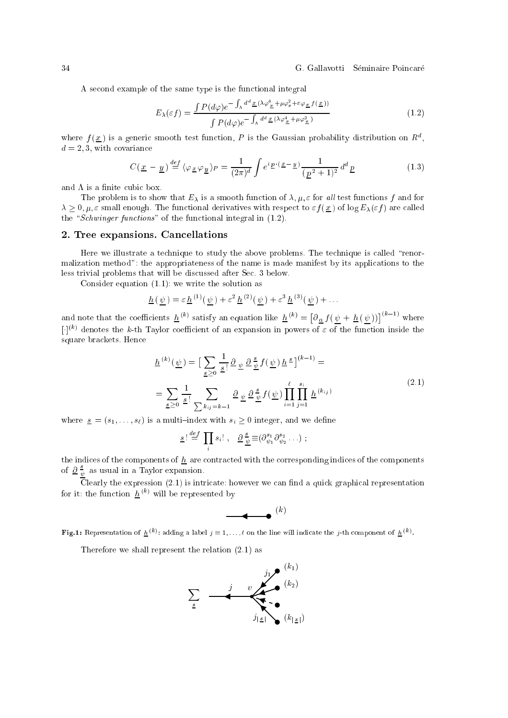#### 34 G. Gallavotti Seminaire Poin
are

A second example of the same type is the functional integral

$$
E_{\lambda}(\varepsilon f) = \frac{\int P(d\varphi)e^{-\int_{\Lambda} d^d \underline{x} (\lambda \varphi \frac{d}{\underline{x}} + \mu \varphi_x^2 + \varepsilon \varphi \underline{x} f(\underline{x}))}}{\int P(d\varphi)e^{-\int_{\Lambda} d^d \underline{x} (\lambda \varphi \frac{d}{\underline{x}} + \mu \varphi \frac{2}{\underline{x}})}}
$$
(1.2)

where  $f(\underline{x})$  is a generic smooth test function, P is the Gaussian probability distribution on  $R^d$ ,  $d = 2, 3$ , with covariance

<sup>R</sup>

$$
C\left(\underline{x} - \underline{y}\right) \stackrel{def}{=} \langle \varphi_{\underline{x}} \varphi_{\underline{y}} \rangle_P = \frac{1}{(2\pi)^d} \int e^i \underline{p} \cdot (\underline{x} - \underline{y}) \frac{1}{(\underline{p}^2 + 1)^2} d^d \underline{p} \tag{1.3}
$$

and  $\Lambda$  is a finite cubic box.

The problem is to show that  $E_{\lambda}$  is a smooth function of  $\lambda, \mu, \varepsilon$  for all test functions f and for  $\lambda > 0, \mu, \varepsilon$  small enough. The functional derivatives with respect to  $\varepsilon f(x)$  of  $\log E_{\lambda}(\varepsilon f)$  are called the "Schwinger functions" of the functional integral in  $(1.2)$ .

### 2. Tree expansions. Can
ellations

Here we illustrate a technique to study the above problems. The technique is called "renormalization method": the appropriateness of the name is made manifest by its appli
ations to the less trivial problems that will be discussed after Sec. 3 below.

Consider equation  $(1.1)$ : we write the solution as

$$
\underline{h}(\underline{\psi}) = \varepsilon \underline{h}^{(1)}(\underline{\psi}) + \varepsilon^2 \underline{h}^{(2)}(\underline{\psi}) + \varepsilon^3 \underline{h}^{(3)}(\underline{\psi}) + \dots
$$

and note that the coefficients  $h^{(k)}$  satisfy an equation like  $h^{(k)} =$  $\left[\partial_{\alpha} f(\psi + \underline{h}(\psi))\right]^{(k-1)}$  where  $\left[\cdot\right]^{(k)}$  denotes the k-th Taylor coefficient of an expansion in powers of  $\varepsilon$  of the function inside the square brackets. Hence

$$
\underline{h}^{(k)}(\underline{\psi}) = \Big[ \sum_{\underline{s} \ge 0} \frac{1}{\underline{s}!} \underline{\partial}_{\underline{\psi}} \underline{\partial}_{\underline{\psi}} f(\underline{\psi}) \underline{h}^{\underline{s}} \Big]^{(k-1)} =
$$
\n
$$
= \sum_{\underline{s} \ge 0} \frac{1}{\underline{s}!} \sum_{\underline{k}_{ij} = k-1} \underline{\partial}_{\underline{\psi}} \underline{\partial}_{\underline{\psi}} \underline{\partial}_{\underline{\psi}} f(\underline{\psi}) \prod_{i=1}^{\ell} \prod_{j=1}^{s_i} \underline{h}^{(k_{ij})}
$$
\n(2.1)

where  $\underline{s} = (s_1, \ldots, s_\ell)$  is a multi-index with  $s_i \geq 0$  integer, and we define

$$
\underline{s} : \stackrel{def}{=} \prod_i s_i! \; , \quad \underline{\partial} \, \frac{\underline{s}}{\underline{\psi}} \equiv (\partial_{\psi_1}^{s_1} \partial_{\psi_2}^{s_2} \; \dots) \; ;
$$

the indices of the components of  $h$  are contracted with the corresponding indices of the components of  $\partial \frac{z}{\psi}$  as usual in a Taylor expansion.

for it: the function  $\overline{h}^{(k)}$  will be represented by

$$
\overbrace{\hspace{1.5em}}^{(k)}
$$

**Fig.1:** Representation of  $n \vee \vee$ : adding a label  $j = 1, \ldots, \ell$  on the line will indicate the  $j$ -th component of  $n \vee \vee$ .

Therefore we shall represent the relation (2.1) as

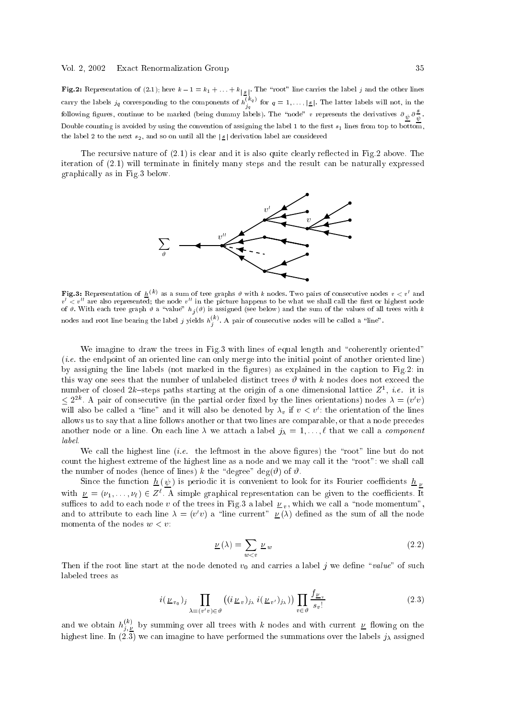. The strip of  $\alpha$  is interesting to the line  $\alpha$  in the strip  $\lfloor s \rfloor$  . The contribution of the other lines carry the labels  $j_q$  corresponding to the components of  $h^{\gamma, q}$  $j_q$  = 1; iii,  $j_q$  = 1; iii)  $\pm$  if the latter labels will not, in the latt following figures, continue to be marked (being dummy labels). The "node"  $v$  represents the derivatives  $\partial_{\,\,w} \partial_{\,\,\sigma}^{\,\,-}$  $\psi^-$ Double counting is avoided by using the convention of assigning the label 1 to the first  $s_1$  lines from top to bottom, the label 2 to the next  $s_2$ , and so on until all the  $|s|$  derivation label are considered

The recursive nature of  $(2.1)$  is clear and it is also quite clearly reflected in Fig.2 above. The iteration of (2.1) will terminate in finitely many steps and the result can be naturally expressed graphi
ally as in Fig.3 below.



**rig.3:** Representation of  $n \vee \vee$  as a sum of tree graphs  $\vartheta$  with  $\kappa$  nodes. Two pairs of consecutive nodes  $v < v$  and  $v$   $\,<\,v$  are also represented; the node  $v$  –in the picture happens to be what we shall call the first or highest node of a  $\alpha$  and the sum  $\alpha$  of the sum of the sum of the sum of the sum of the values of the values of all trees with nodes and root line bearing the label  $j$  yields  $h_j^{\langle \gamma \rangle}$ . A pair of consecutive nodes will be called a "line".

We imagine to draw the trees in Fig.  $3$  with lines of equal length and "coherently oriented"  $(i.e.$  the endpoint of an oriented line can only merge into the initial point of another oriented line) by assigning the line labels (not marked in the gures) as explained in the aption to Fig.2: in this way one sees that the number of unlabeled distinct trees  $\vartheta$  with k nodes does not exceed the number of closed  $2k$ -steps paths starting at the origin of a one dimensional lattice  $Z^1$ , *i.e.* it is  $\leq 2^{2k}$ . A pair of consecutive (in the partial order fixed by the lines orientations) nodes  $\lambda = (v'v)$ will also be called a "line" and it will also be denoted by  $\lambda_v$  if  $v < v'$ : the orientation of the lines allows us to say that a line follows another or that two lines are omparable, or that a node pre
edes another node or a line. On each line  $\lambda$  we attach a label  $j_{\lambda} = 1, \ldots, \ell$  that we call a *component* 

We call the highest line (*i.e.* the leftmost in the above figures) the "root" line but do not count the highest extreme of the highest line as a node and we may call it the "root": we shall call the number of nodes (hence of lines) k the "degree" deg( $\vartheta$ ) of  $\vartheta$ .

Since the function  $\underline{h}$  ( $\underline{\psi}$ ) is periodic it is convenient to look for its Fourier coefficients  $\underline{h}$  <sub>v</sub> with  $\underline{\nu} = (\nu_1, \dots, \nu_\ell) \in \mathbb{Z}^{\ell}$ . A simple graphical representation can be given to the coefficients. It sumees to add to each node  $v$  of the trees in Fig.3 a label  $\underline{\nu}_v,$  which we call a "hode momentum", and to attribute to each line  $\lambda = (v'v)$  a "line current"  $\nu(\lambda)$  defined as the sum of all the node momenta of the nodes  $w < v$ :

$$
\underline{\nu}(\lambda) = \sum_{w < v} \underline{\nu}_w \tag{2.2}
$$

Then if the root line start at the node denoted  $v_0$  and carries a label j we define "value" of such labeled trees as

$$
i(\underline{\nu}_{v_0})_j \prod_{\lambda \equiv (v'v) \in \vartheta} ((i\underline{\nu}_v)_{j\lambda} i(\underline{\nu}_{v'})_{j\lambda})) \prod_{v \in \vartheta} \frac{f_{\underline{\nu}_v}}{s_v!}
$$
(2.3)

and we obtain  $h_{i,\nu}^{(n)}$  by summing over all trees with k nodes and with current  $\underline{\nu}$  flowing on the highest line. In (2.3) we can imagine to have performed the summations over the labels  $j_\lambda$  assigned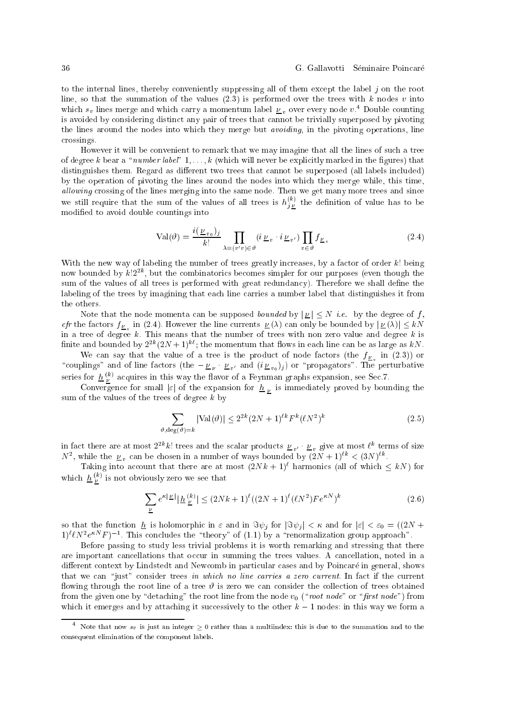to the internal lines, thereby onveniently suppressing all of them ex
ept the label j on the root line, so that the summation of the values  $(2.3)$  is performed over the trees with k nodes v into which  $s_v$  lines merge and which carry a momentum label  ${\underline{\nu}}_v$  over every node  $v.$  Double counting is avoided by onsidering distin
t any pair of trees that annot be trivially superposed by pivoting the lines around the nodes into which they merge but *avoiding*, in the pivoting operations, line rossings.

However it will be convenient to remark that we may imagine that all the lines of such a tree of degree k bear a "number label"  $1, \ldots, k$  (which will never be explicitly marked in the figures) that distinguishes them. Regard as different two trees that cannot be superposed (all labels included) by the operation of pivoting the lines around the nodes into whi
h they merge while, this time, allowing crossing of the lines merging into the same node. Then we get many more trees and since we still require that the sum of the values of all trees is  $h_{i\nu}^{(\kappa)}$  the definition of value has to be modied to avoid double ountings into

$$
Val(\vartheta) = \frac{i(\underline{\nu}_{v_0})_j}{k!} \prod_{\lambda \equiv (v'v) \in \vartheta} (i\underline{\nu}_v \cdot i\underline{\nu}_{v'}) \prod_{v \in \vartheta} f_{\underline{\nu}_v}
$$
(2.4)

With the new way of labeling the number of trees greatly increases, by a factor of order  $k!$  being now bounded by  $k!2^{2k}$ , but the combinatorics becomes simpler for our purposes (even though the sum of the values of all trees is performed with great redundancy). Therefore we shall define the labeling of the trees by imagining that each line carries a number label that distinguishes it from the others.

Note that the node momenta can be supposed *bounded* by  $|\underline{\nu}| \leq N$  *i.e.* by the degree of f, *cfr* the factors  $f_{\nu}$  in (2.4). However the line currents  $\underline{\nu}(\lambda)$  can only be bounded by  $|\underline{\nu}(\lambda)| \leq kN$ in a tree of degree k. This means that the number of trees with non zero value and degree k is finite and bounded by  $2^{2k}(2N+1)^{kt}$ ; the momentum that flows in each line can be as large as  $kN$ .

We can say that the value of a tree is the product of node factors (the  $f_{\nu}$  in (2.3)) or "couplings" and of line factors (the  $-\underline{\nu}_{\nu} \cdot \underline{\nu}_{\nu'}$  and  $(i \underline{\nu}_{v_0})_j$ ) or "propagators". The perturbative series for  $h_{\nu}^{(\kappa)}$  acquires in this way the flavor of a Feynman graphs expansion, see Sec.7.

Convergence for small  $|\varepsilon|$  of the expansion for  $h_{\nu}$  is immediately proved by bounding the sum of the values of the trees of degree  $k$  by

$$
\sum_{\vartheta, \deg(\vartheta) = k} |\text{Val}(\vartheta)| \le 2^{2k} (2N+1)^{\ell k} F^k (\ell N^2)^k \tag{2.5}
$$

in fact there are at most  $2^{2k}k!$  trees and the scalar products  $\underline{\nu}_{v'} \cdot \underline{\nu}_{v}$  give at most  $\ell^k$  terms of size  $N^2$ , while the  $\underline{\nu}_{v}$  can be chosen in a number of ways bounded by  $(2N+1)^{\ell k} < (3N)^{\ell k}$ .<br>Takin

which  $h_{\nu}^{(\kappa)}$  is not obviously zero we see that

$$
\sum_{\underline{\nu}} e^{\kappa |\underline{\nu}|} |\underline{h}^{(k)}_{\underline{\nu}}| \leq (2Nk+1)^{\ell} ((2N+1)^{\ell} (\ell N^2) F e^{\kappa N})^k
$$
\n(2.6)

so that the function  $\underline{h}$  is holomorphic in  $\varepsilon$  and in  $\Im \psi_j$  for  $|\Im \psi_j| < \kappa$  and for  $|\varepsilon| < \varepsilon_0 = (2N +$  $1)^{\ell} \ell N^2 e^{\kappa N} F^{-1}$ . This concludes the "theory" of (1.1) by a "renormalization group approach".

Before passing to study less trivial problems it is worth remarking and stressing that there are important cancellations that occur in summing the trees values. A cancellation, noted in a different context by Lindstedt and Newcomb in particular cases and by Poincaré in general, shows that we can "just" consider trees in which no line carries a zero current. In fact if the current flowing through the root line of a tree  $\vartheta$  is zero we can consider the collection of trees obtained from the given one by "detaching" the root line from the node  $v_0$  (*"root node"* or *"first node"*) from which it emerges and by attaching it successively to the other  $k-1$  nodes: in this way we form a

 $^{\circ}$  Note that now  $s_v$  is just an integer  $>$  0 rather than a multiindex: this is due to the summation and to the onsequent elimination of the omponent labels.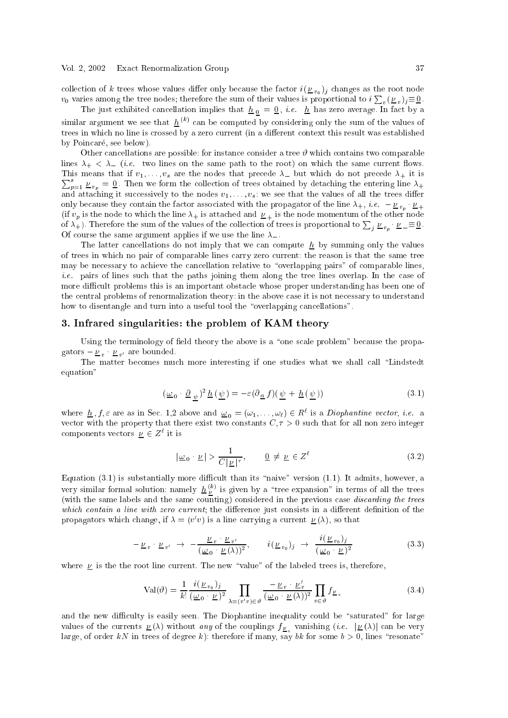#### Vol. 2, 2002 Exa
t Renormalization Group 37

collection of k trees whose values differ only because the factor  $i(\underline{\nu}_{n})_i$  changes as the root node  $v_0$  varies among the tree nodes; therefore the sum of their values is proportional to  $i\sum_{v}(\underline{\nu}_v)_j\equiv \underline{0}$ .

The just exhibited cancellation implies that  $\underline{h}_0 = \underline{0}$ , *i.e.*  $\underline{h}$  has zero average. In fact by a similar argument we see that  $h^{(\kappa)}$  can be computed by considering only the sum of the values of trees in which no line is crossed by a zero current (in a different context this result was established by Poincaré, see below).

Other cancellations are possible: for instance consider a tree  $\vartheta$  which contains two comparable lines  $\lambda_+$   $\lt \lambda_-$  (*i.e.* two lines on the same path to the root) on which the same current flows.  $\sum_{p=1}^{s} \nu_{v_p} = 0$ . Then we form the collection of trees obtained by detaching the entering line  $\lambda_+$ This means that if  $v_1, \ldots, v_s$  are the nodes that precede  $\lambda_{-}$  but which do not precede  $\lambda_{+}$  it is and attaching it successively to the nodes  $v_1, \ldots, v_s$ : we see that the values of all the trees differ only because they contain the factor associated with the propagator of the line  $\lambda_+,\,i.e.$   $-\underline{\nu}_{\ v_n}\cdot \underline{\nu}_+$ (if  $v_p$  is the node to which the line  $\lambda_+$  is attached and  $\underline{\nu}_+$  is the node momentum of the other node of  $\lambda_+$ ). Therefore the sum of the values of the collection of trees is proportional to  $\sum_i \underline{\nu}_{\ v_p}\cdot \underline{\nu}_- \equiv \underline{0}$  . Of course the same argument applies if we use the line  $\lambda$ .

The latter cancellations do not imply that we can compute  $h$  by summing only the values of trees in whi
h no pair of omparable lines arry zero urrent: the reason is that the same tree may be necessary to achieve the cancellation relative to "overlapping pairs" of comparable lines, *i.e.* pairs of lines such that the paths joining them along the tree lines overlap. In the case of more difficult problems this is an important obstacle whose proper understanding has been one of the central problems of renormalization theory: in the above case it is not necessary to understand how to disentangle and turn into a useful tool the "overlapping cancellations".

### 3. Infrared singularities: the problem of KAM theory

Using the terminology of field theory the above is a "one scale problem" because the propagators  $-\underline{\nu}_v$ ,  $\underline{\nu}_v$  are bounded.

The matter becomes much more interesting if one studies what we shall call "Lindstedt" equation"

$$
(\underline{\omega}_0 \cdot \underline{\partial}_{\underline{\psi}})^2 \underline{h}(\underline{\psi}) = -\varepsilon (\partial_{\underline{\alpha}} f)(\underline{\psi} + \underline{h}(\underline{\psi})) \tag{3.1}
$$

where  $\underline{h}$ ,  $f, \varepsilon$  are as in Sec. 1,2 above and  $\underline{\omega}_0 = (\omega_1, \ldots, \omega_\ell) \in R^\ell$  is a *Diophantine vector, i.e.* a vector with the property that there exist two constants  $C, \tau > 0$  such that for all non zero integer components vectors  $\nu \in Z^{\ell}$  it is

$$
|\underline{\omega}_0 \cdot \underline{\nu}| > \frac{1}{C|\underline{\nu}|^{\tau}}, \qquad \underline{0} \neq \underline{\nu} \in Z^{\ell} \tag{3.2}
$$

Equation  $(3.1)$  is substantially more difficult than its "naive" version  $(1.1)$ . It admits, however, a very similar formal solution: namely  $h_{\nu}^{(k)}$  is given by a "tree expansion" in terms of all the trees (with the same labels and the same ounting) onsidered in the previous ase dis
arding the trees which contain a line with zero current; the difference just consists in a different definition of the propagators which change, if  $\lambda = (v'v)$  is a line carrying a current  $\nu(\lambda)$ , so that

$$
-\underline{\nu}_v \cdot \underline{\nu}_{v'} \rightarrow -\frac{\underline{\nu}_v \cdot \underline{\nu}_{v'}}{(\underline{\omega}_0 \cdot \underline{\nu}(\lambda))^2}, \qquad i(\underline{\nu}_{v_0})_j \rightarrow \frac{i(\underline{\nu}_{v_0})_j}{(\underline{\omega}_0 \cdot \underline{\nu})^2} \tag{3.3}
$$

where  $\nu$  is the the root line current. The new "value" of the labeled trees is, therefore,

$$
\text{Val}(\vartheta) = \frac{1}{k!} \frac{i(\underline{\nu}_{v_0})_j}{(\underline{\omega}_0 \cdot \underline{\nu})^2} \prod_{\lambda \equiv (v'v) \in \vartheta} \frac{-\underline{\nu}_v \cdot \underline{\nu}'_v}{(\underline{\omega}_0 \cdot \underline{\nu}(\lambda))^2} \prod_{v \in \vartheta} f_{\underline{\nu}_v} \tag{3.4}
$$

and the new difficulty is easily seen. The Diophantine inequality could be "saturated" for large values of the currents  $\underline{\nu}(\lambda)$  without *any* of the couplings  $f_{\underline{\nu}_v}$  vanishing (*i.e.*  $|\,\underline{\nu}\,(\lambda)|$  can be very large, of order kN in trees of degree k): therefore if many, say bk for some  $b > 0$ , lines "resonate"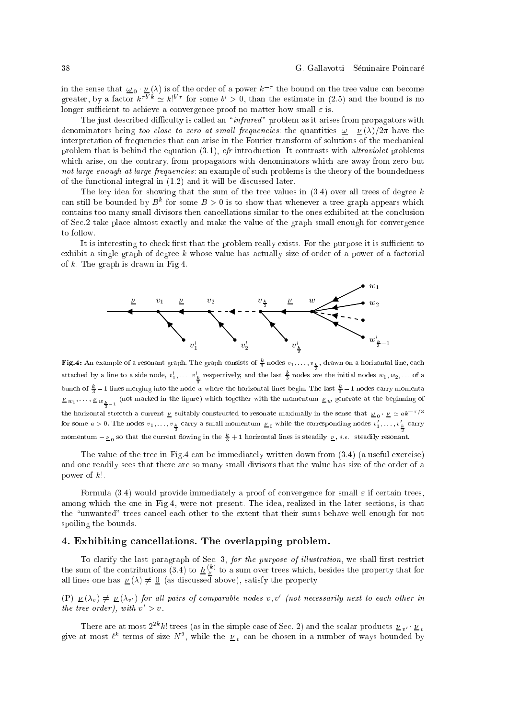in the sense that  $\omega_0 \cdot \underline{\nu}(\lambda)$  is of the order of a power  $k^{-\tau}$  the bound on the tree value can become greater, by a factor  $k^{\tau b'k} \simeq k!^{b'\tau}$  for some  $b' > 0$ , than the estimate in (2.5) and the bound is no longer sufficient to achieve a convergence proof no matter how small  $\varepsilon$  is.

The just described difficulty is called an "infrared" problem as it arises from propagators with denominators being too close to zero at small frequencies: the quantities  $\omega \cdot \nu(\lambda)/2\pi$  have the interpretation of frequencies that can arise in the Fourier transform of solutions of the mechanical problem that is behind the equation (3.1), *cfr* introduction. It contrasts with *ultraviolet* problems which arise, on the contrary, from propagators with denominators which are away from zero but not large enough at large frequencies: an example of such problems is the theory of the boundedness of the fun
tional integral in (1.2) and it will be dis
ussed later.

The key idea for showing that the sum of the tree values in  $(3.4)$  over all trees of degree k can still be bounded by  $B^k$  for some  $B > 0$  is to show that whenever a tree graph appears which contains too many small divisors then cancellations similar to the ones exhibited at the conclusion of Se
.2 take pla
e almost exa
tly and make the value of the graph small enough for onvergen
e to follow.

It is interesting to check first that the problem really exists. For the purpose it is sufficient to exhibit a single graph of degree  $k$  whose value has actually size of order of a power of a factorial of  $k$ . The graph is drawn in Fig. 4.



**rig.4:** An example of a resonant graph. The graph consists of  $\frac{2}{3}$  hodes  $v_1, \ldots, v_{\lfloor k \rfloor}$  drawn on a horizontal line, each attached by a line to a side node,  $v_1,\ldots,v_{|k|}$  respectively, and the last  $\frac{\alpha}{3}$  nodes are the initial nodes  $w_1,w_2,\ldots$  or a bunch of  $\frac{k}{3}-1$  lines merging into the node  $w$  where the horizontal lines begin. The last  $\frac{k}{3}$ <sup>3</sup> <sup>1</sup> nodes arry momenta  $-w_1$ ,  $-w_{\frac{k}{3}-1}$ , of  $w_2$  is the momentum  $-w$  of  $-w$  of  $w_3$ the horizontal strectch a current  $\underline{\nu}$  suitably constructed to resonate maximally in the sense that  $\underline{\omega}_0\cdot \underline{\nu}\simeq a k^{-1/2}$ for some  $a > 0$ . The hodes  $v_1, \ldots, v_{\lfloor \frac{k}{2} \rfloor}$  carry a small momentum  $\lfloor \frac{\nu}{0} \rfloor$  while the corresponding hodes  $v_1, \ldots, v_{\lfloor \frac{k}{2} \rfloor}$  carry s and the second contract of the second contract of the second contract of the second contract of the second c momentum  $-\underline{\nu}_0$  so that the current nowing in the  $\frac{4}{3}+1$  horizontal lines is steadily  $\underline{\nu}$ , *i.e.* steadily resonant.

The value of the tree in Fig.4 can be immediately written down from  $(3.4)$  (a useful exercise) and one readily sees that there are so many small divisors that the value has size of the order of a power of k!.

Formula  $(3.4)$  would provide immediately a proof of convergence for small  $\varepsilon$  if certain trees, among which the one in Fig.4, were not present. The idea, realized in the later sections, is that the "unwanted" trees cancel each other to the extent that their sums behave well enough for not spoiling the bounds.

### 4. Exhibiting an
ellations. The overlapping problem.

To clarify the last paragraph of Sec. 3, for the purpose of illustration, we shall first restrict the sum of the contributions (3.4) to  $h_{\nu}^{(k)}$  to a sum over trees which, besides the property that for all lines one has  $\nu(\lambda) \neq 0$  (as discussed above), satisfy the property

 $(P) \nightharpoonup \underline{\nu} (\lambda_v) \neq \underline{\nu} (\lambda_{v'})$  for all pairs of comparable nodes v, v' (not necessarily next to each other in the tree order), with  $v' > v$ .

There are at most  $2^{2k}k!$  trees (as in the simple case of Sec. 2) and the scalar products  $u_{v'}\cdot \underline{v}$ give at most  $\ell^k$  terms of size  $N^2$ , while the  $\underline{\nu}_v$  can be chosen in a number of ways bounded by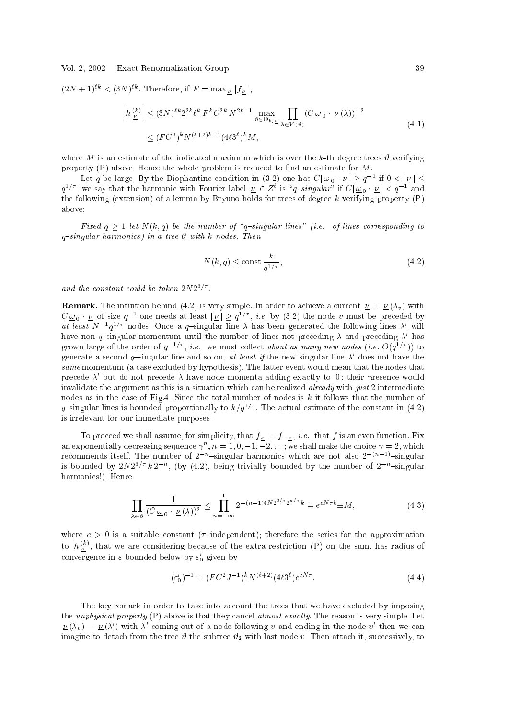Vol. 2, 2002 Exa
t Renormalization Group 39

$$
(2N+1)^{\ell k} < (3N)^{\ell k}
$$
. Therefore, if  $F = \max_{\underline{\nu}} |f_{\underline{\nu}}|$ ,

$$
\left| \frac{h^{(k)}_{\mu}}{\nu} \right| \leq (3N)^{\ell k} 2^{2k} \ell^k F^k C^{2k} N^{2k-1} \max_{\vartheta \in \Theta_{k,\mu}} \prod_{\lambda \in V(\vartheta)} (C \underline{\omega}_0 \cdot \underline{\nu}(\lambda))^{-2}
$$
\n
$$
\leq (FC^2)^k N^{(\ell+2)k-1} (4\ell 3^{\ell})^k M,
$$
\n
$$
(4.1)
$$

where M is an estimate of the indicated maximum which is over the k-th degree trees  $\vartheta$  verifying property  $(P)$  above. Hence the whole problem is reduced to find an estimate for M.

Let q be large. By the Diophantine condition in (3.2) one has  $C|\omega_0\cdot \underline{\nu}| \geq q^{-1}$  if  $0 < |\underline{\nu}| \leq$  $q^{1/\tau}$ : we say that the harmonic with Fourier label  $\underline{\nu} \in Z^t$  is " $q$ -singular" if  $C|\underline{\omega}_0 \cdot \underline{\nu}| < q^{-1}$  and<br>the following (extension) of a lemma by Bryuno holds for trees of degree k verifying property (P) above:

Fixed  $q \ge 1$  let  $N(k, q)$  be the number of "q-singular lines" (i.e. of lines corresponding to q-singular harmonics) in a tree  $\vartheta$  with k nodes. Then

$$
N(k,q) \le \text{const} \frac{k}{q^{1/\tau}},\tag{4.2}
$$

and the constant could be taken  $2N2^{3/\tau}$ 

**Remark.** The intuition behind (4.2) is very simple. In order to achieve a current  $\underline{\nu} = \underline{\nu} (\lambda_v)$  with  $C \underline{\omega}_0 \cdot \underline{\nu}$  of size  $q^{-1}$  one needs at least  $|\underline{\nu}| \geq q^{1/\tau}$ , *i.e.* by (3.2) the node v must be preceded by at least  $N^{-1}q^{1/\tau}$  nodes. Once a q-singular line  $\lambda$  has been generated the following lines  $\lambda'$  will have non-q-singular momentum until the number of lines not preceding  $\lambda$  and preceding  $\lambda'$  has grown large of the order of  $q^{-1/\tau}$ , *i.e.* we must collect *about as many new nodes* (*i.e.*  $O(q^{1/\tau})$ ) to generate a second q-singular line and so on, *at least if* the new singular line  $\lambda'$  does not have the same momentum (a case excluded by hypothesis). The latter event would mean that the nodes that precede  $\lambda'$  but do not precede  $\lambda$  have node momenta adding exactly to 0; their presence would invalidate the argument as this is a situation which can be realized *already* with just 2 intermediate nodes as in the case of Fig.4. Since the total number of nodes is  $k$  it follows that the number of q-singular lines is bounded proportionally to  $k/q^{1/\tau}$ . The actual estimate of the constant in (4.2) is irrelevant for our immediate purposes.

To proceed we shall assume, for simplicity, that  $f_{\nu} = f_{-\nu}$ , *i.e.* that f is an even function. Fix an exponentially decreasing sequence  $\gamma^{\shortparallel\prime},$   $n=$  1,  $0,$   $-1,$   $-2, \ldots$  ; we shall make the choice  $\gamma=$  2, which recommends itsen. The number of 2  $^{\circ}$  -singular harmonics which are not also 2  $^{\circ}$   $^{\circ}$  -singular is bounded by  $2N2^{3/7} k2^{-n}$ , (by (4.2), being trivially bounded by the number of  $2^{-n}$ -singular harmonics!). Hence

$$
\prod_{\lambda \in \vartheta} \frac{1}{(C \underline{\omega}_0 \cdot \underline{\nu}(\lambda))^2} \le \prod_{n=-\infty}^1 2^{-(n-1)4N 2^{3/\tau} 2^{n/\tau} k} = e^{cN\tau k} \equiv M,
$$
\n(4.3)

where  $c > 0$  is a suitable constant ( $\tau$ -independent); therefore the series for the approximation to  $h_{\nu}^{(k)}$ , that we are considering because of the extra restriction (P) on the sum, has radius of convergence in  $\varepsilon$  bounded below by  $\varepsilon_0^{\text{}}$  given by

 $\overline{\phantom{0}}$ 

$$
(\varepsilon_0')^{-1} = (FC^2 J^{-1})^k N^{(\ell+2)} (4\ell 3^\ell) e^{cN\tau}.
$$
\n(4.4)

The key remark in order to take into account the trees that we have excluded by imposing the *unphysical property* (P) above is that they cancel *almost exactly*. The reason is very simple. Let  $\underline{\nu}(\lambda_v) = \underline{\nu}(\lambda')$  with  $\lambda'$  coming out of a node following v and ending in the node v' then we can imagine to detach from the tree  $\vartheta$  the subtree  $\vartheta_2$  with last node v. Then attach it, successively, to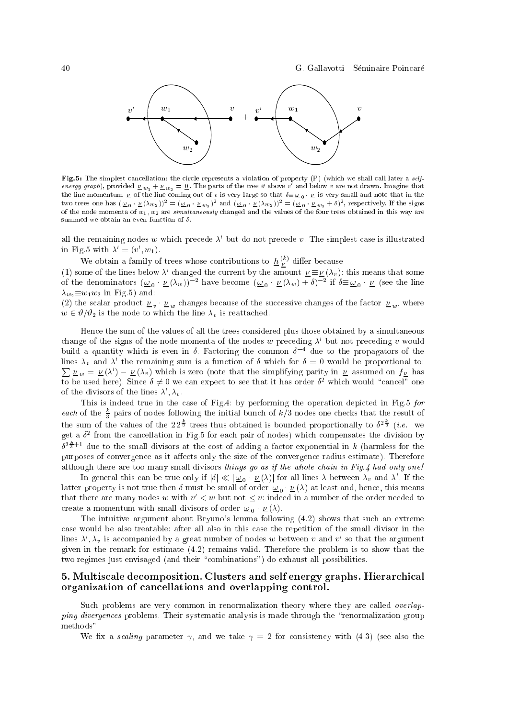

Fig.5: The simplest an
ellation: the ir
le represents a violation of property (P) (whi
h we shall all later a self*energy graph*), provided  $\underline{\nu}_{w_1} + \underline{\nu}_{w_2} = \underline{\upsilon}$ . The parts of the tree  $v$  above  $v$  and below  $v$  are not drawn. Imagine that  $\blacksquare$  on the line  $\blacksquare$  on the line  $\blacksquare$  is very small and note that in the in the in the in the in the in the in the in the in the in the in the in the in the in the in the in the in the in the in the in the in the i two trees one has  $(\underline{\omega}_0 \cdot \underline{\nu}(\lambda_{w_2}))^+ = (\underline{\omega}_0 \cdot \underline{\nu}_{w_2})^-$  and  $(\underline{\omega}_0 \cdot \underline{\nu}(\lambda_{w_2}))^+ = (\underline{\omega}_0 \cdot \underline{\nu}_{w_2} + o)^-,$  respectively. If the signs of the node momenta of w1; w2 are simultaneously hanged and the values of the four trees obtained in this way are summed we obtain an even function of  $\delta$ .

all the remaining nodes w which precede  $\lambda'$  but do not precede v. The simplest case is illustrated in Fig.5 with  $\lambda' = (v', w_1)$ .

We obtain a family of trees whose contributions to  $h_{\underline{\nu}}^{(\kappa)}$  differ because<br>(1) some of the lines below  $\lambda'$  changed the current by the amount  $\underline{\nu} \equiv \underline{\nu} (\lambda_v)$ : this means that some of the denominators  $(\underline{\omega}_0 \cdot \underline{\nu} (\lambda_w))^{-2}$  have become  $(\underline{\omega}_0 \cdot \underline{\nu} (\lambda_w) + \delta)^{-2}$  if  $\delta \equiv \underline{\omega}_0 \cdot \underline{\nu}$  (see the line  $\lambda_{w_2} \equiv w_1 w_2$  in Fig.5) and:

(2) the scalar product  ${\nu \over \nu}_{v} \cdot {\nu \over \nu}_{w}$  changes because of the successive changes of the factor  ${\nu \over \nu}_{w},$  where  $w \in \vartheta/\vartheta_2$  is the node to which the line  $\lambda_v$  is reattached.

Hen
e the sum of the values of all the trees onsidered plus those obtained by a simultaneous change of the signs of the node momenta of the nodes w preceding  $\lambda'$  but not preceding v would build a quantity which is even in  $\delta$ . Factoring the common  $\delta^{-4}$  due to the propagators of the lines  $\lambda_v$  and  $\lambda'$  the remaining sum is a function of  $\delta$  which for  $\delta = 0$  would be proportional to:  $w_w = \underline{\nu}(\lambda') - \underline{\nu}(\lambda_v)$  which is zero (note that the simplifying parity in  $\underline{\nu}$  assumed on  $f_{\nu}$  has to be used here). Since  $\delta \neq 0$  we can expect to see that it has order  $\delta^2$  which would "cancel" one of the divisors of the lines  $\lambda', \lambda_v$ .

This is indeed true in the case of Fig.4: by performing the operation depicted in Fig.5 for each of the  $\frac{k}{3}$  pairs of nodes following the initial bunch of  $k/3$  nodes one checks that the result of the sum of the values of the  $22^{\frac{k}{3}}$  trees thus obtained is bounded proportionally to  $\delta^2^{\frac{k}{3}}$  (*i.e.* we get a  $\delta^2$  from the cancellation in Fig.5 for each pair of nodes) which compensates the division by  $\delta^{2\frac{\pi}{3}+1}$  due to the small divisors at the cost of adding a factor exponential in k (harmless for the purposes of convergence as it affects only the size of the convergence radius estimate). Therefore although there are too many small divisors things go as if the whole chain in Fig.4 had only one!

In general this can be true only if  $|\delta| \ll |\underline{\omega}_0 \cdot \underline{\nu}(\lambda)|$  for all lines  $\lambda$  between  $\lambda_v$  and  $\lambda'$ . If the latter property is not true then  $\delta$  must be small of order  $\omega_0 \cdot \nu(\lambda)$  at least and, hence, this means that there are many nodes w with  $v' < w$  but not  $\leq v$ : indeed in a number of the order needed to create a momentum with small divisors of order  $\omega_0 \cdot \underline{\nu}(\lambda)$ .

The intuitive argument about Bryuno's lemma following (4.2) shows that su
h an extreme ase would be also treatable: after all also in this ase the repetition of the small divisor in the lines  $\lambda', \lambda_v$  is accompanied by a great number of nodes w between v and v' so that the argument given in the remark for estimate  $(4.2)$  remains valid. Therefore the problem is to show that the two regimes just envisaged (and their "combinations") do exhaust all possibilities.

### 5. Multis
ale de
omposition. Clusters and self energy graphs. Hierar
hi
al organization of cancellations and overlapping control.

Such problems are very common in renormalization theory where they are called *overlap*ping divergences problems. Their systematic analysis is made through the "renormalization group methods".

We fix a scaling parameter  $\gamma$ , and we take  $\gamma = 2$  for consistency with (4.3) (see also the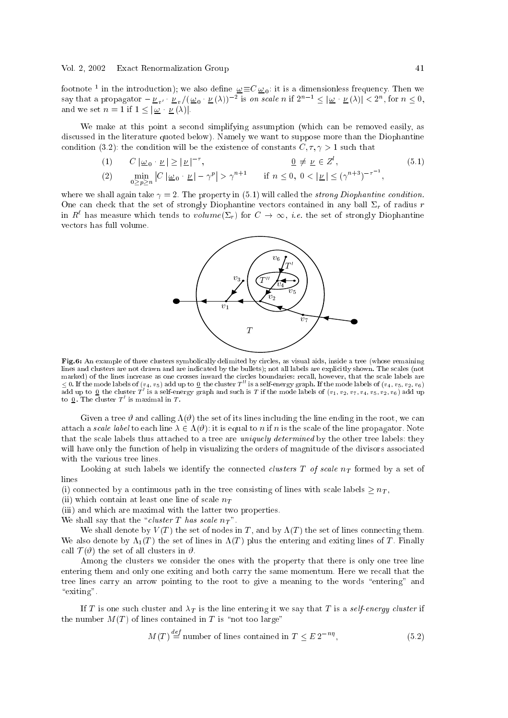#### Vol. 2, 2002 Exact Renormalization Group 41

 $0 > p > n$ 

footnote <sup>1</sup> in the introduction); we also define  $\omega\!\equiv\!C\,\omega_{\,0}$ : it is a dimensionless frequency. Then we say that a propagator  $-\underline{\nu}_{v'}\cdot \underline{\nu}_{v}/(\underline{\omega}_0\cdot \underline{\nu}(\lambda))^{-2}$  is on scale n if  $2^{n-1} \leq |\underline{\omega}\cdot \underline{\nu}(\lambda)| < 2^n$ , for  $n \leq 0$ , and we set  $n = 1$  if  $1 < \vert \omega \cdot \nu(\lambda) \vert$ .

We make at this point a second simplifying assumption (which can be removed easily, as dis
ussed in the literature quoted below). Namely we want to suppose more than the Diophantine condition (3.2): the condition will be the existence of constants  $C, \tau, \gamma > 1$  such that

> (1)  $C |\underline{\omega}_0 \cdot \underline{\nu}| \geq |\underline{\nu}|^{-\tau},$   $\underline{0} \neq \underline{\nu} \in Z^t,$  (5.1)  $|C|\underline{\omega}_0 \cdot \underline{\nu}| - \gamma^p | > \gamma^{n+1}$  if  $n \leq 0, 0 < |\underline{\nu}| \leq (\gamma^{n+3})^{-\tau^{-1}},$

where we shall again take  $\gamma = 2$ . The property in (5.1) will called the *strong Diophantine condition*. One can check that the set of strongly Diophantine vectors contained in any ball  $\Sigma_r$  of radius r in  $R^{\ell}$  has measure which tends to volume( $\Sigma_r$ ) for  $C \to \infty$ , *i.e.* the set of strongly Diophantine ve
tors has full volume.



Fig.6: An example of three lusters symboli
ally delimited by ir
les, as visual aids, inside a tree (whose remaining lines and clusters are not drawn and are indicated by the bullets); not all labels are explicitly shown. The scales (not  $\leq 0$ . If the mode labels of  $(v_4, v_5)$  add up to 0 the cluster  $T''$  is a self-energy graph. If the mode labels of  $(v_4, v_5, v_2, v_6)$ <br>add up to 0 the cluster  $T'$  is a self-energy graph and such is T if the mode labels to  $\sigma$  . The cluster  $\tau$  is maximal in  $\tau$  .

Given a tree  $\vartheta$  and calling  $\Lambda(\vartheta)$  the set of its lines including the line ending in the root, we can attach a scale label to each line  $\lambda \in \Lambda(\vartheta)$ : it is equal to n if n is the scale of the line propagator. Note that the scale labels thus attached to a tree are *uniquely determined* by the other tree labels: they will have only the function of help in visualizing the orders of magnitude of the divisors associated with the various tree lines.

Looking at such labels we identify the connected *clusters T of scale n<sub>T</sub>* formed by a set of lines

(i) connected by a continuous path in the tree consisting of lines with scale labels  $\geq n_T$ ,

(ii) which contain at least one line of scale  $n_T$ 

(iii) and whi
h are maximal with the latter two properties.

We shall say that the "cluster T has scale  $n_T$ ".

We shall denote by  $V(T)$  the set of nodes in T, and by  $\Lambda(T)$  the set of lines connecting them. We also denote by  $\Lambda_1(T)$  the set of lines in  $\Lambda(T)$  plus the entering and exiting lines of T. Finally call  $\mathcal{T}(\vartheta)$  the set of all clusters in  $\vartheta$ .

Among the clusters we consider the ones with the property that there is only one tree line entering them and only one exiting and both arry the same momentum. Here we re
all that the tree lines carry an arrow pointing to the root to give a meaning to the words "entering" and "exiting".

If T is one such cluster and  $\lambda_T$  is the line entering it we say that T is a self-energy cluster if the number  $M(T)$  of lines contained in T is "not too large"

$$
M(T) \stackrel{def}{=} \text{number of lines contained in } T \le E 2^{-n\eta},\tag{5.2}
$$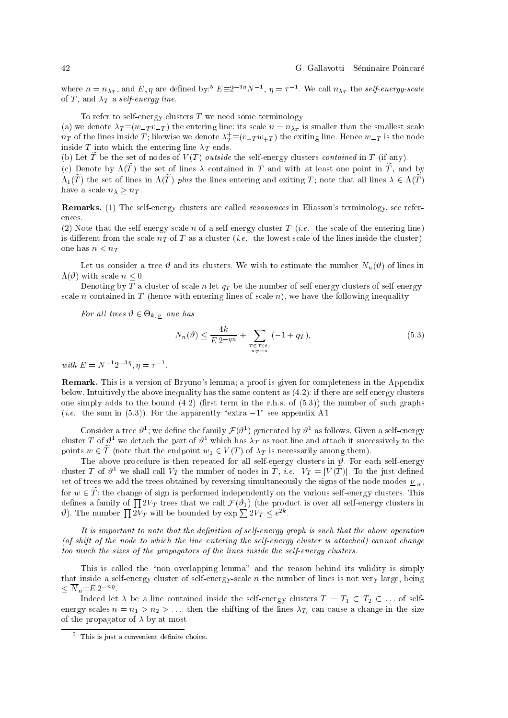where  $n = n_{\lambda_T}$ , and E,  $\eta$  are defined by:<sup>5</sup>  $E \equiv 2^{-3\eta} N^{-1}$ ,  $\eta = \tau^{-1}$ . We call  $n_{\lambda_T}$  the self-energy-scale of T, and  $\lambda_T$  a self-energy line.

To refer to self-energy clusters  $T$  we need some terminology

(a) we denote  $\lambda_T \equiv (w_T v_T)$  the entering line: its scale  $n = n_{\lambda_T}$  is smaller than the smallest scale  $n_T$  of the lines inside T; likewise we denote  $\lambda^\pm_T \!\equiv\! (v_+ T w_+ T)$  the exiting line. Hence  $w_{-T}$  is the node inside T into which the entering line  $\lambda_T$  ends.

(b) Let  $\tilde{T}$  be the set of nodes of  $V(T)$  *outside* the self-energy clusters *contained* in T (if any).

(c) Denote by  $\Lambda(\tilde{T})$  the set of lines  $\lambda$  contained in T and with at least one point in  $\tilde{T}$ , and by  $\Lambda_1(\widetilde{T})$  the set of lines in  $\Lambda(\widetilde{T})$  plus the lines entering and exiting T; note that all lines  $\lambda \in \Lambda(\widetilde{T})$ have a scale  $n_{\lambda} \geq n_T$ .

Remarks. (1) The self-energy clusters are called *resonances* in Eliasson's terminology, see referen
es.

(2) Note that the self-energy-scale  $n$  of a self-energy cluster  $T$  (*i.e.* the scale of the entering line) is different from the scale  $n<sub>T</sub>$  of T as a cluster (*i.e.* the lowest scale of the lines inside the cluster): one has  $n < n_T$ .

Let us consider a tree  $\vartheta$  and its clusters. We wish to estimate the number  $N_n(\vartheta)$  of lines in  $\Lambda(\vartheta)$  with scale  $n \leq 0$ .

Denoting by T a cluster of scale n let  $q_T$  be the number of self-energy clusters of self-energyscale *n* contained in T (hence with entering lines of scale *n*), we have the following inequality.

For all trees  $\vartheta \in \Theta_{k,\nu}$  one has

$$
N_n(\vartheta) \le \frac{4k}{E 2^{-\eta n}} + \sum_{\substack{T \in \mathcal{T}(\vartheta) \\ n_T = n}} (-1 + q_T),\tag{5.3}
$$

with  $E = N^{-1}2^{-3\eta}, \eta = \tau^{-1}$ .

Remark. This is a version of Bryuno's lemma; a proof is given for ompleteness in the Appendix below. Intuitively the above inequality has the same ontent as (4.2): if there are self energy lusters one simply adds to the bound  $(4.2)$  (first term in the r.h.s. of  $(5.3)$ ) the number of such graphs (*i.e.* the sum in (5.3)). For the apparently "extra  $-1$ " see appendix A1.

Consider a tree  $\vartheta^1$ ; we define the family  $\mathcal{F}(\vartheta^1)$  generated by  $\vartheta^1$  as follows. Given a self-energy cluster T of  $\vartheta^1$  we detach the part of  $\vartheta^1$  which has  $\lambda_T$  as root line and attach it successively to the points  $w \in T$  (note that the endpoint  $w_1 \in V(T)$  of  $\lambda_T$  is necessarily among them).

The above procedure is then repeated for all self-energy clusters in  $\vartheta$ . For each self-energy cluster T of  $\vartheta^1$  we shall call  $V_T$  the number of nodes in T, *i.e.*  $V_T = |V(T)|$ . To the just defined set of trees we add the trees obtained by reversing simultaneously the signs of the node modes  ${\underline{\nu}}_w,$ for  $w \in \tilde{T}$ : the change of sign is performed independently on the various self-energy clusters. This defines a family of  $\prod 2V_T$  trees that we call  $\mathcal{F}(\vartheta_1)$  (the product is over all self-energy clusters in  $\vartheta$ ). The number  $\prod 2V_T$  will be bounded by  $\exp \sum 2V_T \le e^{2k}$ .

It is important to note that the definition of self-energy graph is such that the above operation (of shift of the node to which the line entering the self-energy cluster is attached) cannot change too mu
h the sizes of the propagators of the lines inside the self-energy lusters.

This is called the "non overlapping lemma" and the reason behind its validity is simply that inside a self-energy cluster of self-energy-scale  $n$  the number of lines is not very large, being  $\leq N_n \equiv E 2^{-n\eta}$ .

Indeed let  $\lambda$  be a line contained inside the self-energy clusters  $T = T_1 \subset T_2 \subset \ldots$  of selfenergy-scales  $n = n_1 > n_2 > ...$ ; then the shifting of the lines  $\lambda_{T_i}$  can cause a change in the size of the propagator of  $\lambda$  by at most

<sup>5</sup> This is just a onvenient denite hoi
e.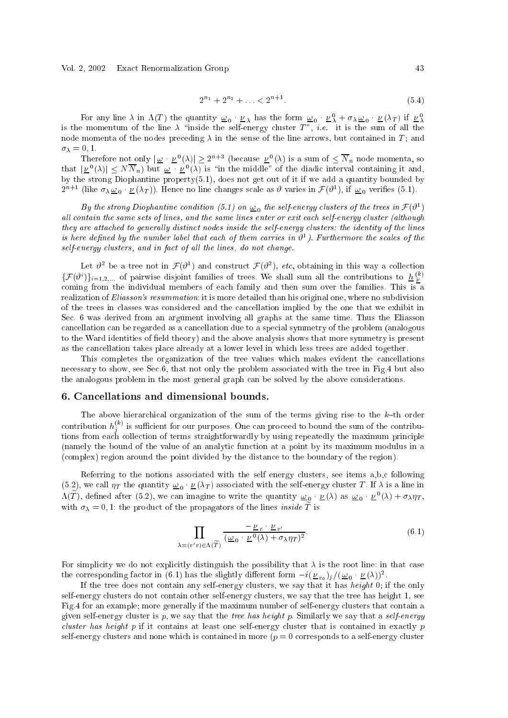$$
2^{n_1} + 2^{n_2} + \ldots < 2^{n+1}.\tag{5.4}
$$

For any line  $\lambda$  in  $\Lambda(T)$  the quantity  $\underline{\omega}_0 \cdot \underline{\nu}_\lambda$  has the form  $\underline{\omega}_0 \cdot \underline{\nu}_\lambda^0 + \sigma_\lambda \underline{\omega}_0 \cdot \underline{\nu}(\lambda_T)$  if  $\underline{\nu}_\lambda^0$ <br>is the momentum of the line  $\lambda$  "inside the self-energy cluster T", *i.e.* it is the sum node momenta of the nodes preceding  $\lambda$  in the sense of the line arrows, but contained in T; and  $\sigma_{\lambda} = 0, 1.$ 

Therefore not only  $|\underline{\omega} \cdot \underline{\nu}^0(\lambda)| \geq 2^{n+3}$  (because  $\underline{\nu}^0(\lambda)$  is a sum of  $\leq N_n$  node momenta, so that  $|\underline{\nu}^0(\lambda)| \leq N N_n$  but  $\underline{\omega} \cdot \underline{\nu}^0(\lambda)$  is "in the middle" of the diadic interval containing it and, by the strong Diophantine property(5.1), does not get out of it if we add a quantity bounded by  $2^{n+1}$  (like  $\sigma_{\lambda} \underline{\omega}_0 \cdot \underline{\nu} (\lambda_T)$ ). Hence no line changes scale as  $\vartheta$  varies in  $\mathcal{F}(\vartheta^1)$ , if  $\underline{\omega}_0$  verifies (5.1).

By the strong Diophantine condition (5.1) on  $\omega_0$  the self-energy clusters of the trees in  $\mathcal{F}(\vartheta^1)$ all contain the same sets of lines, and the same lines enter or exit each self-energy cluster (although they are attached to generally distinct nodes inside the self-energy clusters: the identity of the lines is here defined by the number label that each of them carries in  $\vartheta^1$ ). Furthermore the scales of the self-energy clusters, and in fact of all the lines, do not change.

Let  $\vartheta^2$  be a tree not in  $\mathcal{F}(\vartheta^1)$  and construct  $\mathcal{F}(\vartheta^2)$ , etc, obtaining in this way a collection  $\{\mathcal{F}(\vartheta^i)\}_{i=1,2,...}$  of pairwise disjoint families of trees. We shall sum all the contributions to  $\underline{h}_{\nu}^{(\kappa)}$ coming from the individual members of each family and then sum over the families. This is a realization of Eliasson's resummation: it is more detailed than his original one, where no subdivision of the trees in lasses was onsidered and the an
ellation implied by the one that we exhibit in Se
. 6 was derived from an argument involving all graphs at the same time. Thus the Eliasson an
ellation an be regarded as a an
ellation due to a spe
ial symmetry of the problem (analogous to the Ward identities of field theory) and the above analysis shows that more symmetry is present as the an
ellation takes pla
e already at a lower level in whi
h less trees are added together.

This completes the organization of the tree values which makes evident the cancellations necessary to show, see Sec.6, that not only the problem associated with the tree in Fig.4 but also the analogous problem in the most general graph an be solved by the above onsiderations.

### 6. Can
ellations and dimensional bounds.

The above hierarchical organization of the sum of the terms giving rise to the  $k$ -th order contribution  $h_{\lambda}^{(\kappa)}$  is sufficient for our purposes. One can proceed to bound the sum of the contribu- $\sim$ tions from the time that the straightforwardly the maximum principles of the maximum principles. (namely the bound of the value of an analyti fun
tion at a point by its maximum modulus in a (
omplex) region around the point divided by the distan
e to the boundary of the region).

Referring to the notions associated with the self energy clusters, see items a,b,c following (5.2), we call  $\eta_T$  the quantity  $\omega_0 \cdot \underline{\nu}(\lambda_T)$  associated with the self-energy cluster T. If  $\lambda$  is a line in  $\Lambda(T)$ , defined after (5.2), we can imagine to write the quantity  $\omega_0 \cdot \nu(\lambda)$  as  $\omega_0 \cdot \nu^0(\lambda) + \sigma_\lambda \eta_T$ , with  $\sigma_{\lambda} = 0, 1$ : the product of the propagators of the lines *inside*  $\tilde{T}$  is

$$
\prod_{\lambda \equiv (v'v) \in \Lambda(\widetilde{T})} \frac{-\underline{\nu}_v \cdot \underline{\nu}_v'}{(\underline{\omega}_0 \cdot \underline{\nu}^0(\lambda) + \sigma_\lambda \eta_T)^2}.
$$
\n(6.1)

For simplicity we do not explicitly distinguish the possibility that  $\lambda$  is the root line: in that case the corresponding factor in (6.1) has the slightly different form  $-i(\underline{\nu}_{v_0})_j/(\underline{\omega}_0 \cdot \underline{\nu}(\lambda))^2$ .

If the tree does not contain any self-energy clusters, we say that it has *height* 0; if the only self-energy clusters do not contain other self-energy clusters, we say that the tree has height 1, see Fig.4 for an example; more generally if the maximum number of self-energy clusters that contain a given self-energy cluster is  $p$ , we say that the *tree has height*  $p$ . Similarly we say that a *self-energy* cluster has height  $p$  if it contains at least one self-energy cluster that is contained in exactly  $p$ self-energy clusters and none which is contained in more  $(p = 0$  corresponds to a self-energy cluster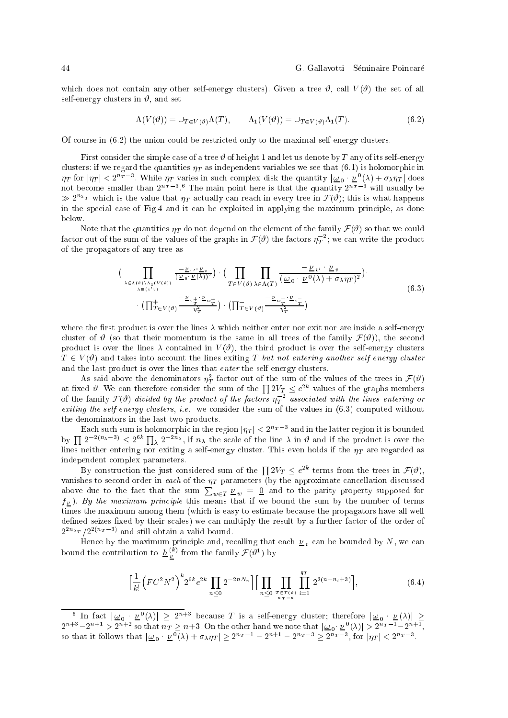which does not contain any other self-energy clusters). Given a tree  $\vartheta$ , call  $V(\vartheta)$  the set of all self-energy clusters in  $\vartheta$ , and set

$$
\Lambda(V(\vartheta)) = \cup_{T \in V(\vartheta)} \Lambda(T), \qquad \Lambda_1(V(\vartheta)) = \cup_{T \in V(\vartheta)} \Lambda_1(T). \tag{6.2}
$$

Of course in  $(6.2)$  the union could be restricted only to the maximal self-energy clusters.

First consider the simple case of a tree  $\vartheta$  of height 1 and let us denote by T any of its self-energy clusters: if we regard the quantities  $\eta_T$  as independent variables we see that (6.1) is holomorphic in  $\eta_T$  for  $|\eta_T| < 2^{n_T - 3}$ . While  $\eta_T$  varies in such complex disk the quantity  $|\omega_{\bf 0} \cdot \underline{\bf \nu}^{\bf 0}(\lambda) + \sigma_\lambda \eta_T|$  does not become smaller than  $2^{n}$  . The main point here is that the quantity  $2^{n}$  - will usually be  $\gg 2^{n_{\lambda_T}}$  which is the value that  $\eta_T$  actually can reach in every tree in  $\mathcal{F}(\theta)$ ; this is what happens in the special case of Fig.4 and it can be exploited in applying the maximum principle, as done below.

Note that the quantities  $\eta_T$  do not depend on the element of the family  $\mathcal{F}(\vartheta)$  so that we could factor out of the sum of the values of the graphs in  $\mathcal{F}(\vartheta)$  the factors  $\eta_T^{-2};$  we can write the product of the propagators of any tree as

$$
\left(\prod_{\lambda \in \Lambda(\vartheta) \setminus \Lambda_1(V(\vartheta))} \frac{-\underline{\nu}_{v'} \cdot \underline{\nu}_{v}}{(\underline{\omega}_{0} \cdot \underline{\nu}(\lambda))^{2}}\right) \cdot \left(\prod_{T \in V(\vartheta)} \prod_{\lambda \in \Lambda(T)} \frac{-\underline{\nu}_{v'} \cdot \underline{\nu}_{v}}{(\underline{\omega}_{0} \cdot \underline{\nu}^{0}(\lambda) + \sigma_{\lambda} \eta_{T})^{2}}\right) \cdot \left(\prod_{T \in V(\vartheta)} \frac{-\underline{\nu}_{v'} \cdot \underline{\nu}_{v}}{(\underline{\omega}_{0} \cdot \underline{\nu}^{0}(\lambda) + \sigma_{\lambda} \eta_{T})^{2}}\right) \cdot \left(\prod_{T \in V(\vartheta)} \frac{-\underline{\nu}_{v_{T}} \cdot \underline{\nu}_{v_{T}}}{\eta_{T}^{2}}\right) \cdot \left(\prod_{T \in V(\vartheta)} \frac{-\underline{\nu}_{v_{T}} \cdot \underline{\nu}_{v_{T}}}{\eta_{T}^{2}}\right)
$$
\n
$$
(6.3)
$$

where the first product is over the lines  $\lambda$  which neither enter nor exit nor are inside a self-energy cluster of  $\vartheta$  (so that their momentum is the same in all trees of the family  $\mathcal{F}(\vartheta)$ ), the second product is over the lines  $\lambda$  contained in  $V(\vartheta)$ , the third product is over the self-energy clusters  $T \in V(\vartheta)$  and takes into account the lines exiting T but not entering another self energy cluster and the last product is over the lines that *enter* the self energy clusters.

As said above the denominators  $\eta^2_T$  factor out of the sum of the values of the trees in  $\mathcal{F}(\vartheta)$ at fixed  $\vartheta$ . We can therefore consider the sum of the  $\prod 2V_T \leq e^{2k}$  values of the graphs members<br>of the family  $\mathcal{F}(\vartheta)$  divided by the product of the factors  $\eta_T^{-2}$  associated with the lines entering or exiting the self energy clusters, *i.e.* we consider the sum of the values in  $(6.3)$  computed without the denominators in the last two products.

Each such sum is holomorphic in the region  $|\eta_T| < 2^{n_T - 3}$  and in the latter region it is bounded by  $\prod 2^{-2(n_{\lambda}-3)} \leq 2^{6k} \prod_{\lambda} 2^{-2n_{\lambda}}$ , if  $n_{\lambda}$  the scale of the line  $\lambda$  in  $\vartheta$  and if the product is over the lines neither entering nor exiting a self-energy cluster. This even holds if the  $\eta_T$  are regarded as independent omplex parameters.

By construction the just considered sum of the  $\Box 2V_T \leq e^{2k}$  terms from the trees in  $\mathcal{F}(\vartheta)$ , vanishes to second order in each of the  $\eta_T$  parameters (by the approximate cancellation discussed above due to the fact that the sum  $\sum_{w \in T} \underline{\nu}_w = 0$  and to the parity property supposed for  $f_{\nu}$ ). By the maximum principle this means that if we bound the sum by the number of terms times the maximum among them (which is easy to estimate because the propagators have all well defined seizes fixed by their scales) we can multiply the result by a further factor of the order of  $2^{2n_{\lambda_T}}/2^{2(n_T-3)}$  and still obtain a valid bound.

Hence by the maximum principle and, recalling that each  $\underline{\nu}_v$  can be bounded by N, we can bound the contribution to  $h_{\nu}^{(\kappa)}$  from the family  $\mathcal{F}(\vartheta^1)$  by

$$
\left[\frac{1}{k!} \left( FC^2 N^2 \right)^k 2^{6k} e^{2k} \prod_{n \le 0} 2^{-2nN_n} \right] \Big[ \prod_{n \le 0} \prod_{\substack{T \in \mathcal{T}(\vartheta) \\ n \neq n}} \prod_{i=1}^{q} 2^{2(n-n_i+3)} \Big],\tag{6.4}
$$

<sup>&</sup>lt;sup>6</sup> In fact  $|\omega_0 \cdot \underline{\nu}^0(\lambda)| \geq 2^{n+3}$  because T is a self-energy cluster; therefore  $|\omega_0 \cdot \underline{\nu}(\lambda)| \geq$  $2^{n+3}-2^{n+1} > 2^{n+2}$  so that  $n_T \ge n+3$ . On the other hand we note that  $|\omega_{0} \cdot \underline{\nu}^{0}(\lambda)| > 2^{n_T-1}-2^{n+1}$ ,<br>so that it follows that  $|\omega_{0} \cdot \underline{\nu}^{0}(\lambda) + \sigma_{\lambda} \eta_T| \ge 2^{n_T-1} - 2^{n+1} - 2^{n_T-3} \ge 2^{n_T-3}$ , for  $|\eta_T| < 2^{n_T-3$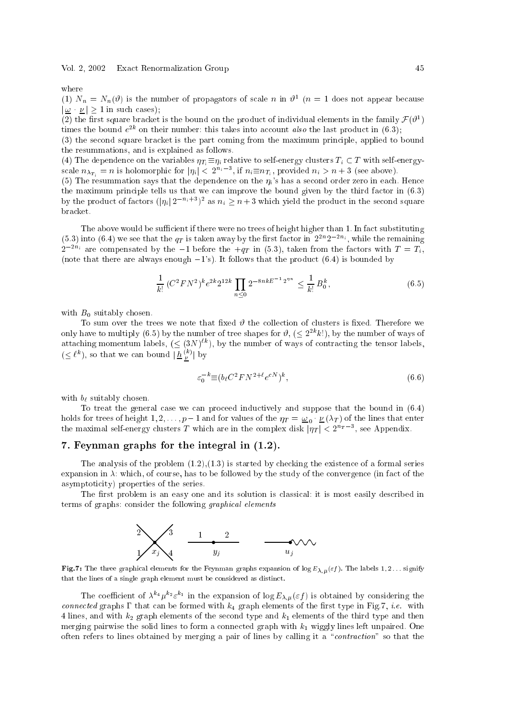#### Vol. 2, 2002 Exa
t Renormalization Group 45

### where

(1)  $N_n = N_n(\theta)$  is the number of propagators of scale n in  $\theta^1$  ( $n = 1$  does not appear because  $|\omega \cdot \nu|$  > 1 in such cases);

(2) the first square bracket is the bound on the product of individual elements in the family  $\mathcal{F}(\vartheta^1)$ times the bound  $e^{2n}$  on their number: this takes into account  $\it{also}$  the last product in (6.3);

(3) the se
ond square bra
ket is the part oming from the maximum prin
iple, applied to bound the resummations, and is explained as follows.

(4) The dependence on the variables  $\eta_{T_i} \equiv \eta_i$  relative to self-energy clusters  $T_i \subset T$  with self-energyscale  $n_{\lambda_{T_i}} = n$  is holomorphic for  $|\eta_i| < 2^{n_i - \delta}$ , if  $n_i \equiv n_{T_i}$ , provided  $n_i > n + 3$  (see above).

(5) The resummation says that the dependence on the  $\eta_i$ 's has a second order zero in each. Hence the maximum principle tells us that we can improve the bound given by the third factor in  $(6.3)$ by the product of factors  $(\vert \eta_i \vert \vert 2 \vert \vert^{\alpha_i + \beta})^{\tau}$  as  $n_i \geq n + \beta$  which yield the product in the second square bra
ket.

The above would be sufficient if there were no trees of height higher than 1. In fact substituting (5.3) into (6.4) we see that the  $q_T$  is taken away by the first factor in  $\,2^{2n_2-2n_3},\,$  while the remaining  $2^{-2n_i}$  are compensated by the  $-1$  before the  $+q_T$  in (5.3), taken from the factors with  $T=T_i$ , (note that there are always enough  $-1$ 's). It follows that the product  $(6.4)$  is bounded by

$$
\frac{1}{k!} \left( C^2 F N^2 \right)^k e^{2k} 2^{12k} \prod_{n \le 0} 2^{-8nkE^{-1}2^{\eta n}} \le \frac{1}{k!} B_0^k,
$$
\n(6.5)

with  $B_0$  suitably chosen.

To sum over the trees we note that fixed  $\vartheta$  the collection of clusters is fixed. Therefore we only have to multiply (6.5) by the number of tree shapes for  $\vartheta$ , ( $\leq 2^{2k} k!$ ), by the number of ways of attaching momentum labels,  $(\leq (3N)^{t\kappa})$ , by the number of ways of contracting the tensor labels,  $(\leq \ell^k)$ , so that we can bound  $|\underline{h}^{(k)}_{\nu}|$  by

$$
\varepsilon_0^{-k} \equiv (b_\ell C^2 F N^{2+\ell} e^{cN})^k,\tag{6.6}
$$

with  $b_{\ell}$  suitably chosen.

To treat the general case we can proceed inductively and suppose that the bound in  $(6.4)$ holds for trees of height  $1, 2, \ldots, p-1$  and for values of the  $\eta_T = \underline{\omega}_0 \cdot \underline{\nu} (\lambda_T)$  of the lines that enter the maximal self-energy clusters T which are in the complex disk  $|\eta_T| < 2^{n_T-3}$ , see Appendix.

### 7. Feynman graphs for the integral in (1.2).

The analysis of the problem  $(1.2),(1.3)$  is started by checking the existence of a formal series expansion in  $\lambda$ : which, of course, has to be followed by the study of the convergence (in fact of the asymptoti
ity) properties of the series.

The first problem is an easy one and its solution is classical: it is most easily described in terms of graphs: consider the following *graphical elements* 



Fig.7: The three graphi
al elements for the Feynman graphs expansion of log E;("f ). The labels 1; 2 : : : signify that the lines of a single graph element must be onsidered as distin
t.

The coefficient of  $\lambda^{k_4}\mu^{k_2}\varepsilon^{k_1}$  in the expansion of  $\log E_{\lambda,\mu}(\varepsilon f)$  is obtained by considering the connected graphs  $\Gamma$  that can be formed with  $k_4$  graph elements of the first type in Fig.7, *i.e.* with 4 lines, and with  $k_2$  graph elements of the second type and  $k_1$  elements of the third type and then merging pairwise the solid lines to form a connected graph with  $k_1$  wiggly lines left unpaired. One often refers to lines obtained by merging a pair of lines by calling it a "*contraction*" so that the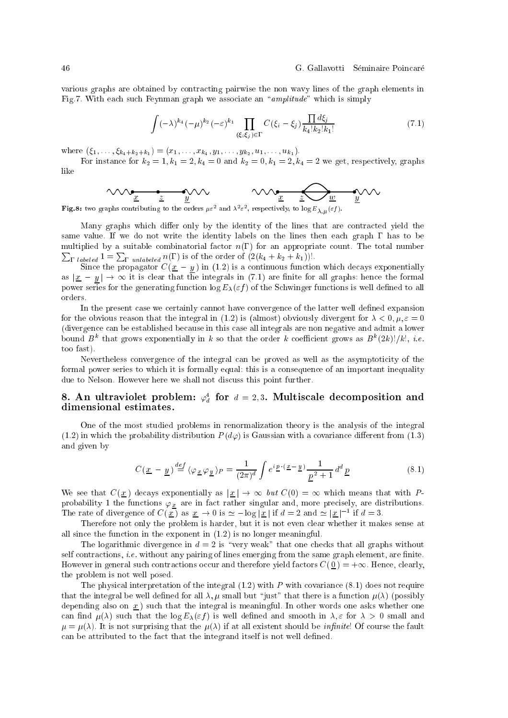various graphs are obtained by ontra
ting pairwise the non wavy lines of the graph elements in Fig.7. With each such Feynman graph we associate an "amplitude" which is simply

$$
\int (-\lambda)^{k_4} (-\mu)^{k_2} (-\varepsilon)^{k_1} \prod_{(\xi_i \xi_j) \in \Gamma} C(\xi_i - \xi_j) \frac{\prod d\xi_j}{k_4! k_2! k_1!}
$$
\n(7.1)

where  $(\xi_1, \ldots, \xi_{k_4+k_2+k_1}) = (x_1, \ldots, x_{k_4}, y_1, \ldots, y_{k_2}, u_1, \ldots, u_{k_1}).$ 

For instance for  $k_2 = 1, k_1 = 2, k_4 = 0$  and  $k_2 = 0, k_1 = 2, k_4 = 2$  we get, respectively, graphs like

$$
\mathcal{W} \leftarrow \underbrace{\mathcal{X} \times \mathcal{Y} \times \mathcal{Y} \times \mathcal{Y} \times \mathcal{Y} \times \mathcal{Y} \times \mathcal{Y} \times \mathcal{Y} \times \mathcal{Y} \times \mathcal{Y} \times \mathcal{Y} \times \mathcal{Y} \times \mathcal{Y} \times \mathcal{Y} \times \mathcal{Y} \times \mathcal{Y} \times \mathcal{Y} \times \mathcal{Y} \times \mathcal{Y} \times \mathcal{Y} \times \mathcal{Y} \times \mathcal{Y} \times \mathcal{Y} \times \mathcal{Y} \times \mathcal{Y} \times \mathcal{Y} \times \mathcal{Y} \times \mathcal{Y} \times \mathcal{Y} \times \mathcal{Y} \times \mathcal{Y} \times \mathcal{Y} \times \mathcal{Y} \times \mathcal{Y} \times \mathcal{Y} \times \mathcal{Y} \times \mathcal{Y} \times \mathcal{Y} \times \mathcal{Y} \times \mathcal{Y} \times \mathcal{Y} \times \mathcal{Y} \times \mathcal{Y} \times \mathcal{Y} \times \mathcal{Y} \times \mathcal{Y} \times \mathcal{Y} \times \mathcal{Y} \times \mathcal{Y} \times \mathcal{Y} \times \mathcal{Y} \times \mathcal{Y} \times \mathcal{Y} \times \mathcal{Y} \times \mathcal{Y} \times \mathcal{Y} \times \mathcal{Y} \times \mathcal{Y} \times \mathcal{Y} \times \mathcal{Y} \times \mathcal{Y} \times \mathcal{Y} \times \mathcal{Y} \times \mathcal{Y} \times \mathcal{Y} \times \mathcal{Y} \times \mathcal{Y} \times \mathcal{Y} \times \mathcal{Y} \times \mathcal{Y} \times \mathcal{Y} \times \mathcal{Y} \times \mathcal{Y} \times \mathcal{Y} \times \mathcal{Y} \times \mathcal{Y} \times \mathcal{Y} \times \mathcal{Y} \times \mathcal{Y} \times \mathcal{Y} \times \mathcal{Y} \times \mathcal{Y} \times \mathcal{Y} \times \mathcal{Y} \times \mathcal{Y} \times \mathcal{Y} \times \mathcal{Y} \times \mathcal{Y} \times \mathcal{Y} \times \mathcal{Y} \times \mathcal{Y} \times \mathcal{Y} \times \mathcal{Y} \times \mathcal{
$$

**rig.8:** two graphs contributing to the orders  $\mu \varepsilon^-$  and  $\lambda^- \varepsilon^-,$  respectively, to log  $E_{{\lambda},\mu}(\varepsilon f).$ 

Many graphs which differ only by the identity of the lines that are contracted yield the same value. If we do not write the identity labels on the lines then each graph  $\Gamma$  has to be multiplied by a suitable combinatorial factor  $n(\Gamma)$  for an appropriate count. The total number  $\Gamma_{labeled} 1 = \sum_{\Gamma_{unlabeled}} n(\Gamma)$  is of the order of  $(2(k_4 + k_2 + k_1))!$ .

Since the propagator  $C(\underline{x} - y)$  in (1.2) is a continuous function which decays exponentially as  $|\underline{x} - \underline{y}| \rightarrow \infty$  it is clear that the integrals in (7.1) are finite for all graphs: hence the formal power series for the generating function  $\log E_{\lambda}(\varepsilon f)$  of the Schwinger functions is well defined to all orders.

In the present case we certainly cannot have convergence of the latter well defined expansion for the obvious reason that the integral in (1.2) is (almost) obviously divergent for  $\lambda < 0, \mu, \varepsilon = 0$ (divergen
e an be established be
ause in this ase all integrals are non negative and admit a lower bound  $B^k$  that grows exponentially in k so that the order k coefficient grows as  $B^k(2k)!/k!$ , *i.e.* too fast).

Nevertheless convergence of the integral can be proved as well as the asymptoticity of the formal power series to which it is formally equal: this is a consequence of an important inequality due to Nelson. However here we shall not discuss this point further.

### 8. An ultraviolet problem:  $\varphi_d^4$  for  $d=2,3$ . Multiscale decomposition and dimensional estimates.

One of the most studied problems in renormalization theory is the analysis of the integral  $(1.2)$  in which the probability distribution  $P(d\varphi)$  is Gaussian with a covariance different from  $(1.3)$ and given by

$$
C(\underline{x} - \underline{y}) \stackrel{def}{=} \langle \varphi_{\underline{x}} \varphi_{\underline{y}} \rangle_P = \frac{1}{(2\pi)^d} \int e^i \underline{p} \cdot (\underline{x} - \underline{y}) \frac{1}{\underline{p}^2 + 1} d^d \underline{p}
$$
(8.1)

We see that  $C(\underline{x})$  decays exponentially as  $|\underline{x}| \to \infty$  but  $C(0) = \infty$  which means that with Pprobability 1 the functions  $\varphi_{\underline{x}}$  are in fact rather singular and, more precisely, are distributions. The rate of divergence of  $C(x)$  as  $x \to 0$  is  $\approx -\log |x|$  if  $d=2$  and  $\approx |x|^{-1}$  if  $d=3$ .

Therefore not only the problem is harder, but it is not even lear whether it makes sense at all sin
e the fun
tion in the exponent in (1.2) is no longer meaningful.

The logarithmic divergence in  $d = 2$  is "very weak" that one checks that all graphs without self contractions, *i.e.* without any pairing of lines emerging from the same graph element, are finite. However in general such contractions occur and therefore yield factors  $C(0) = +\infty$ . Hence, clearly, the problem is not well posed.

The physical interpretation of the integral  $(1.2)$  with P with covariance  $(8.1)$  does not require that the integral be well defined for all  $\lambda, \mu$  small but "just" that there is a function  $\mu(\lambda)$  (possibly depending also on  $\underline{x}$ ) such that the integral is meaningful. In other words one asks whether one can find  $\mu(\lambda)$  such that the  $\log E_{\lambda}(\varepsilon f)$  is well defined and smooth in  $\lambda, \varepsilon$  for  $\lambda > 0$  small and  $\mu = \mu(\lambda)$ . It is not surprising that the  $\mu(\lambda)$  if at all existent should be *infinite*! Of course the fault can be attributed to the fact that the integrand itself is not well defined.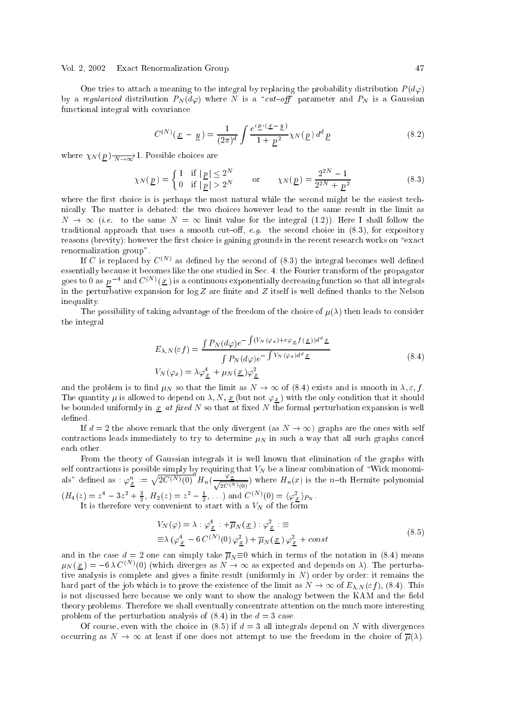#### Vol. 2, 2002 Exact Renormalization Group 47

One tries to attach a meaning to the integral by replacing the probability distribution  $P(d\varphi)$ by a regularized distribution  $P_N(d\varphi)$  where N is a "cut-off" parameter and  $P_N$  is a Gaussian functional integral with covariance

$$
C^{(N)}\left(\underline{x} - \underline{y}\right) = \frac{1}{(2\pi)^d} \int \frac{e^i \underline{p} \cdot (\underline{x} - \underline{y})}{1 + \underline{p}^2} \chi_N(\underline{p}) d^d \underline{p}
$$
(8.2)

where  $\chi_N(\underline{p}) \rightarrow N \rightarrow \infty$  1. Possible choices are

$$
\chi_N(\underline{p}) = \begin{cases} 1 & \text{if } |\underline{p}| \le 2^N \\ 0 & \text{if } |\underline{p}| > 2^N \end{cases} \quad \text{or} \quad \chi_N(\underline{p}) = \frac{2^{2N} - 1}{2^{2N} + p^2} \tag{8.3}
$$

where the first choice is is perhaps the most natural while the second might be the easiest techni
ally. The matter is debated: the two hoi
es however lead to the same result in the limit as  $N \to \infty$  (i.e. to the same  $N = \infty$  limit value for the integral (1.2)). Here I shall follow the traditional approach that uses a smooth cut-off, e.g. the second choice in  $(8.3)$ , for expository reasons (brevity): however the first choice is gaining grounds in the recent research works on "exact renormalization group".

If C is replaced by  $C^{(N)}$  as defined by the second of  $(8.3)$  the integral becomes well defined essentially because it becomes like the one studied in Sec. 4: the Fourier transform of the propagator goes to 0 as  $p^{-4}$  and  $C^{(N)}(\underline{x})$  is a continuous exponentially decreasing function so that all integrals in the perturbative expansion for  $\log Z$  are finite and Z itself is well defined thanks to the Nelson inequality.

The possibility of taking advantage of the freedom of the choice of  $\mu(\lambda)$  then leads to consider the integral

$$
E_{\lambda,N}(\varepsilon f) = \frac{\int P_N(d\varphi)e^{-\int (V_N(\varphi_x) + \varepsilon\varphi_{\frac{x}{}} f(\frac{x}{\omega}))d^d \frac{x}{\omega}}}{\int P_N(d\varphi)e^{-\int V_N(\varphi_x) d^d \frac{x}{\omega}}}
$$
(8.4)  

$$
V_N(\varphi_x) = \lambda \varphi_{\frac{x}{\omega}}^4 + \mu_N(\frac{x}{\omega})\varphi_{\frac{x}{\omega}}
$$

and the problem is to find  $\mu_N$  so that the limit as  $N \to \infty$  of (8.4) exists and is smooth in  $\lambda, \varepsilon, f$ . The quantity  $\mu$  is allowed to depend on  $\lambda$ , N,  $\underline{x}$  (but not  $\varphi_{\underline{x}}$ ) with the only condition that it should be bounded uniformly in x at fixed N so that at fixed N the formal perturbation expansion is well defined.

If  $d = 2$  the above remark that the only divergent (as  $N \to \infty$ ) graphs are the ones with self contractions leads immediately to try to determine  $\mu_N$  in such a way that all such graphs cancel ea
h other.

From the theory of Gaussian integrals it is well known that elimination of the graphs with self contractions is possible simply by requiring that  $V_N$  be a linear combination of "Wick monomials" defined as :  $\varphi_x^n := \sqrt{2C^{(N)}(0)}^n H_n(-\frac{\varphi_x}{\sqrt{2C(n)}})$  $\frac{f(x)}{f(2C^{(N)}(0))}$  where  $H_n(x)$  is the *n*-th Hermite polynomial  $(H_4(z) = z^4 - 3z^2 + \frac{3}{2}, H_2(z) = z^2 - \frac{1}{2}, \ldots)$  and  $C^{(N)}(0) = \langle \varphi_{\underline{x}}^2 \rangle_{P_N}$ .

It is therefore very convenient to start with a  $V_N$  of the form

$$
V_N(\varphi) = \lambda : \varphi_{\underline{x}}^4 : + \overline{\mu}_N(\underline{x}) : \varphi_{\underline{x}}^2 : \equiv
$$
  

$$
\equiv \lambda (\varphi_{\underline{x}}^4 - 6C^{(N)}(0) \varphi_{\underline{x}}^2) + \overline{\mu}_N(\underline{x}) \varphi_{\underline{x}}^2 + const
$$
 (8.5)

and in the case  $d = 2$  one can simply take  $\overline{\mu}_N \equiv 0$  which in terms of the notation in (8.4) means  $\mu_N(\underline{x}) = -6\lambda C^{(N)}(0)$  (which diverges as  $N \to \infty$  as expected and depends on  $\lambda$ ). The perturbative analysis is complete and gives a finite result (uniformly in  $N$ ) order by order: it remains the hard part of the job which is to prove the existence of the limit as  $N \to \infty$  of  $E_{\lambda,N}(\varepsilon f)$ , (8.4). This is not discussed here because we only want to show the analogy between the KAM and the field theory problems. Therefore we shall eventually concentrate attention on the much more interesting problem of the perturbation analysis of  $(8.4)$  in the  $d = 3$  case.

Of course, even with the choice in  $(8.5)$  if  $d=3$  all integrals depend on N with divergences occurring as  $N \to \infty$  at least if one does not attempt to use the freedom in the choice of  $\overline{\mu}(\lambda)$ .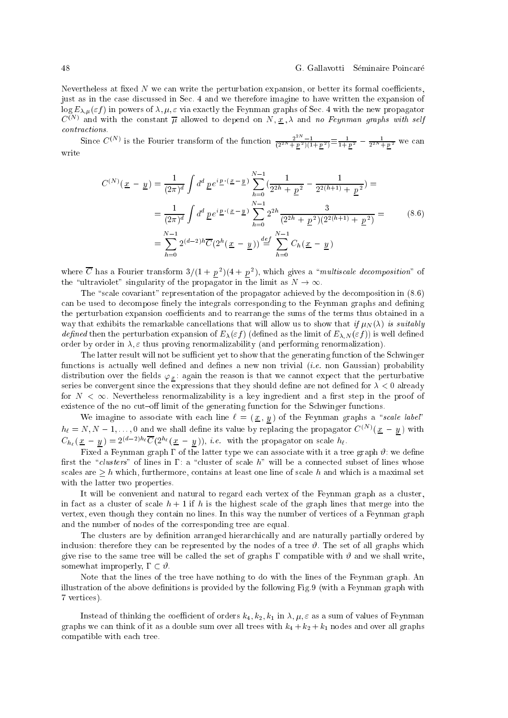#### 48 G. Gallavotti Seminaire Poin
are

Nevertheless at fixed  $N$  we can write the perturbation expansion, or better its formal coefficients, just as in the ase dis
ussed in Se
. 4 and we therefore imagine to have written the expansion of  $\log E_{\lambda}$  ( $\epsilon f$ ) in powers of  $\lambda, \mu, \epsilon$  via exactly the Feynman graphs of Sec. 4 with the new propagator  $C^{(N)}$  and with the constant  $\overline{\mu}$  allowed to depend on N,  $\underline{x}$ ,  $\lambda$  and no Feynman graphs with self

Since  $C^{(N)}$  is the Fourier transform of the function  $\frac{2^{2N}-1}{(2^{2N}+p^2)(1+p^2)} \equiv \frac{1}{1+p^2} - \frac{1}{2^{2N}+p^2}$  we can write

$$
C^{(N)}(\underline{x} - \underline{y}) = \frac{1}{(2\pi)^d} \int d^d \underline{p} e^{i \underline{p} \cdot (\underline{x} - \underline{y})} \sum_{h=0}^{N-1} (\frac{1}{2^{2h} + \underline{p}^2} - \frac{1}{2^{2(h+1)} + \underline{p}^2}) =
$$
  

$$
= \frac{1}{(2\pi)^d} \int d^d \underline{p} e^{i \underline{p} \cdot (\underline{x} - \underline{y})} \sum_{h=0}^{N-1} 2^{2h} \frac{3}{(2^{2h} + \underline{p}^2)(2^{2(h+1)} + \underline{p}^2)} =
$$
  

$$
= \sum_{h=0}^{N-1} 2^{(d-2)h} \overline{C} (2^h (\underline{x} - \underline{y})) \stackrel{def}{=} \sum_{h=0}^{N-1} C_h (\underline{x} - \underline{y})
$$
 (8.6)

where C has a Fourier transform  $3/(1 + p^2)(4 + p^2)$ , which gives a "multiscale decomposition" of the "ultraviolet" singularity of the propagator in the limit as  $N \to \infty$ .

The "scale covariant" representation of the propagator achieved by the decomposition in  $(8.6)$ can be used to decompose finely the integrals corresponding to the Feynman graphs and defining the perturbation expansion coefficients and to rearrange the sums of the terms thus obtained in a way that exhibits the remarkable cancellations that will allow us to show that if  $\mu_N(\lambda)$  is suitably defined then the perturbation expansion of  $E_{\lambda}(\varepsilon f)$  (defined as the limit of  $E_{\lambda,N}(\varepsilon f)$ ) is well defined order by order in  $\lambda, \varepsilon$  thus proving renormalizability (and performing renormalization).

The latter result will not be sufficient yet to show that the generating function of the Schwinger functions is actually well defined and defines a new non trivial  $(i.e.$  non Gaussian) probability distribution over the fields  $\varphi_{\underline{x}}$ : again the reason is that we cannot expect that the perturbative series be convergent since the expressions that they should define are not defined for  $\lambda < 0$  already for  $N < \infty$ . Nevertheless renormalizability is a key ingredient and a first step in the proof of existence of the no cut-off limit of the generating function for the Schwinger functions.

We imagine to associate with each line  $\ell = (\underline{x}, y)$  of the Feynman graphs a "scale label"  $h_{\ell} = N, N - 1, \ldots, 0$  and we shall define its value by replacing the propagator  $C^{(N)}(\underline{x} - y)$  with  $C_{h_\ell} (\underline{x} - \underline{y}) = 2^{(d-2)h_\ell} C(2^{h_\ell} (\underline{x} - \underline{y})), i.e.$  with the propagator on scale  $h_\ell$ .

Fixed a Feynman graph  $\Gamma$  of the latter type we can associate with it a tree graph  $\vartheta$ : we define first the "clusters" of lines in  $\Gamma$ : a "cluster of scale h" will be a connected subset of lines whose scales are  $\geq h$  which, furthermore, contains at least one line of scale h and which is a maximal set with the latter two properties.

It will be convenient and natural to regard each vertex of the Feynman graph as a cluster, in fact as a cluster of scale  $h + 1$  if h is the highest scale of the graph lines that merge into the vertex, even though they contain no lines. In this way the number of vertices of a Feynman graph and the number of nodes of the orresponding tree are equal.

The clusters are by definition arranged hierarchically and are naturally partially ordered by inclusion: therefore they can be represented by the nodes of a tree  $\vartheta$ . The set of all graphs which give rise to the same tree will be called the set of graphs  $\Gamma$  compatible with  $\vartheta$  and we shall write, somewhat improperly,  $\Gamma \subset \vartheta$ .

Note that the lines of the tree have nothing to do with the lines of the Feynman graph. An illustration of the above definitions is provided by the following Fig.9 (with a Feynman graph with 7 verti
es).

Instead of thinking the coefficient of orders  $k_4, k_2, k_1$  in  $\lambda, \mu, \varepsilon$  as a sum of values of Feynman graphs we can think of it as a double sum over all trees with  $k_4 + k_2 + k_1$  nodes and over all graphs ompatible with ea
h tree.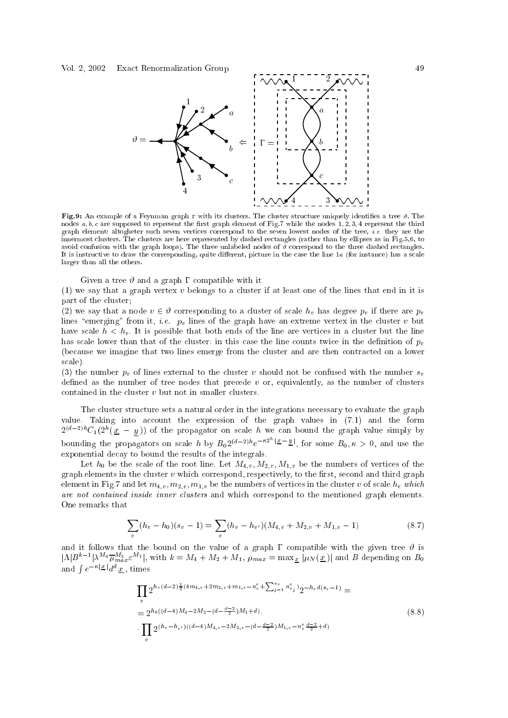

Fig.9: An example of a Feynman graph with its lusters. The luster stru
ture uniquely identies a tree #. The nodes  $a, b, c$  are supposed to represent the first graph element of Fig.7 while the nodes 1, 2, 3, 4 represent the third graph element: altogheter such seven vertices correspond to the seven lowest nodes of the tree, *i.e.* they are the innermost lusters. The lusters are here represented by dashed re
tangles (rather than by ellipses as in Fig.5,6, to avoid confusion with the graph loops). The three unlabeled nodes of  $\vartheta$  correspond to the three dashed rectangles. It is instructive to draw the corresponding, quite different, picture in the case the line 1a (for instance) has a scale larger than all the others.

Given a tree  $\vartheta$  and a graph  $\Gamma$  compatible with it

 $(1)$  we say that a graph vertex v belongs to a cluster if at least one of the lines that end in it is part of the luster;

(2) we say that a node  $v \in \vartheta$  corresponding to a cluster of scale  $h_v$  has degree  $p_v$  if there are  $p_v$ lines "emerging" from it, i.e.  $p_v$  lines of the graph have an extreme vertex in the cluster v but have scale  $h < h_v$ . It is possible that both ends of the line are vertices in a cluster but the line has scale lower than that of the cluster: in this case the line counts twice in the definition of  $p_v$ (be
ause we imagine that two lines emerge from the luster and are then ontra
ted on a lower scale) s
ale).

(3) the number  $p<sub>v</sub>$  of lines external to the cluster v should not be confused with the number  $s<sub>v</sub>$ defined as the number of tree nodes that precede  $v$  or, equivalently, as the number of clusters  $\alpha$  contained in the cluster  $v$  but not in smaller clusters.

The cluster structure sets a natural order in the integrations necessary to evaluate the graph value. Taking into account the expression of the graph values in  $(7.1)$  and the form  $2^{(d-2)h}C_1(2^h(\underline{x}-y))$  of the propagator on scale h we can bound the graph value simply by bounding the propagators on scale h by  $B_0 2^{(d-2)h} e^{-\kappa 2^{n} \vert \underline{x}-\underline{y}\vert}$ , for some  $B_0, \kappa > 0$ , and use the exponential de
ay to bound the results of the integrals.

Let  $h_0$  be the scale of the root line. Let  $M_{4,v}, M_{2,v}, M_{1,v}$  be the numbers of vertices of the  $graph$  elements in the cluster  $v$  which correspond, respectively, to the first, second and third graph element in Fig.7 and let  $m_{4,v}, m_{2,v}, m_{1,v}$  be the numbers of vertices in the cluster v of scale  $h_v$  which are not contained inside inner clusters and which correspond to the mentioned graph elements. One remarks that

$$
\sum_{v} (h_v - h_0)(s_v - 1) = \sum_{v} (h_v - h_{v'}) (M_{4,v} + M_{2,v} + M_{1,v} - 1)
$$
\n(8.7)

and it follows that the bound on the value of a graph  $\Gamma$  compatible with the given tree  $\vartheta$  is  $|\Lambda|B^{k-1}|\lambda^{M_4}\overline{\mu}_{max}^{M_2}\varepsilon^{M_1}|$ , with  $k=M_4+M_2+M_1$ ,  $\mu_{max}=\max_x |\mu_N(\underline{x})|$  and B depending on  $B_0$ and  $\int e^{-\kappa} \frac{x}{\zeta} \, d^d x$ , times

$$
\prod_{v} 2^{h_{v}(d-2)\frac{1}{2}(4m_{4,v}+2m_{2,v}+m_{1,v}-n_{v}^{e}+\sum_{j=1}^{s_{v}}n_{v_{j}}^{e})}2^{-h_{v}d(s_{v}-1)} =
$$
\n
$$
= 2^{h_{0}((d-4)M_{4}-2M_{2}-(d-\frac{d-2}{2})M_{1}+d)}.
$$
\n
$$
\cdot \prod_{v} 2^{(h_{v}-h_{v})((d-4)M_{4,v}-2M_{2,v}-(d-\frac{d-2}{2})M_{1,v}-n_{v}^{e}\frac{d-2}{2}+d)}
$$
\n
$$
(8.8)
$$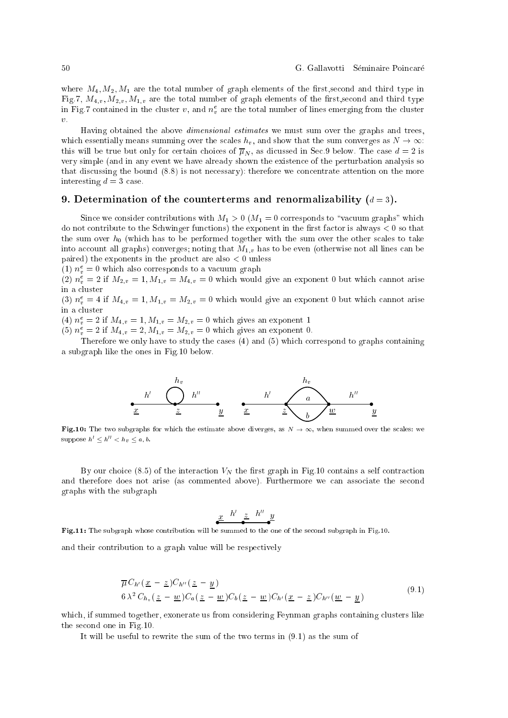where  $M_4, M_2, M_1$  are the total number of graph elements of the first, second and third type in Fig.7,  $M_{4,v}$ ,  $M_{2,v}$ ,  $M_{1,v}$  are the total number of graph elements of the first, second and third type in Fig.7 contained in the cluster  $v,$  and  $n_v^\circ$  are the total number of lines emerging from the cluster  $\upsilon$ .

Having obtained the above *dimensional estimates* we must sum over the graphs and trees, which essentially means summing over the scales  $h_v$ , and show that the sum converges as  $N \to \infty$ : this will be true but only for certain choices of  $\overline{\mu}_N$ , as dicussed in Sec.9 below. The case  $d=2$  is very simple (and in any event we have already shown the existen
e of the perturbation analysis so that discussing the bound  $(8.8)$  is not necessary): therefore we concentrate attention on the more interesting  $d = 3$  case.

# 9. Determination of the counterterms and renormalizability  $(d = 3)$ .

Since we consider contributions with  $M_1 > 0$  ( $M_1 = 0$  corresponds to "vacuum graphs" which do not contribute to the Schwinger functions) the exponent in the first factor is always  $< 0$  so that the sum over  $h_0$  (which has to be performed together with the sum over the other scales to take into account all graphs) converges; noting that  $M_{1, v}$  has to be even (otherwise not all lines can be paired) the exponents in the product are also  $< 0$  unless

 $(1)$   $n_r^{\circ} = 0$  which also corresponds to a vacuum graph

 $(2)$   $n_v^e = 2$  if  $M_{2,v} = 1, M_{1,v} = M_{4,v} = 0$  which would give an exponent 0 but which cannot arise in a luster

 $(3)$   $n_v^e = 4$  if  $M_{4,v} = 1, M_{1,v} = M_{2,v} = 0$  which would give an exponent 0 but which cannot arise in a luster

(4)  $n_v^e = 2$  if  $M_{4,v} = 1, M_{1,v} = M_{2,v} = 0$  which gives an exponent 1

(5)  $n_v^e = 2$  if  $M_{4,v} = 2, M_{1,v} = M_{2,v} = 0$  which gives an exponent 0.

Therefore we only have to study the cases (4) and (5) which correspond to graphs containing a subgraph like the ones in Fig.10 below.



Fig.10: The two subgraphs for whi
h the estimate above diverges, as <sup>N</sup> ! 1, when summed over the s
ales: we suppose  $h' \leq h'' < h_v \leq a, b$ .

By our choice  $(8.5)$  of the interaction  $V_N$  the first graph in Fig.10 contains a self contraction and therefore does not arise (as commented above). Furthermore we can associate the second graphs with the subgraph

$$
x \xrightarrow{h'} x \xrightarrow{h''} y
$$

Fig.11: The subgraph whose ontribution will be summed to the one of the se
ond subgraph in Fig.10.

and their contribution to a graph value will be respectively

$$
\overline{\mu} C_{h'} (\underline{x} - \underline{z}) C_{h''} (\underline{z} - \underline{y})
$$
  
6  $\lambda^2 C_{h_v} (\underline{z} - \underline{w}) C_a (\underline{z} - \underline{w}) C_b (\underline{z} - \underline{w}) C_{h'} (\underline{x} - \underline{z}) C_{h''} (\underline{w} - \underline{y})$  (9.1)

which, if summed together, exonerate us from considering Feynman graphs containing clusters like the se
ond one in Fig.10.

It will be useful to rewrite the sum of the two terms in (9.1) as the sum of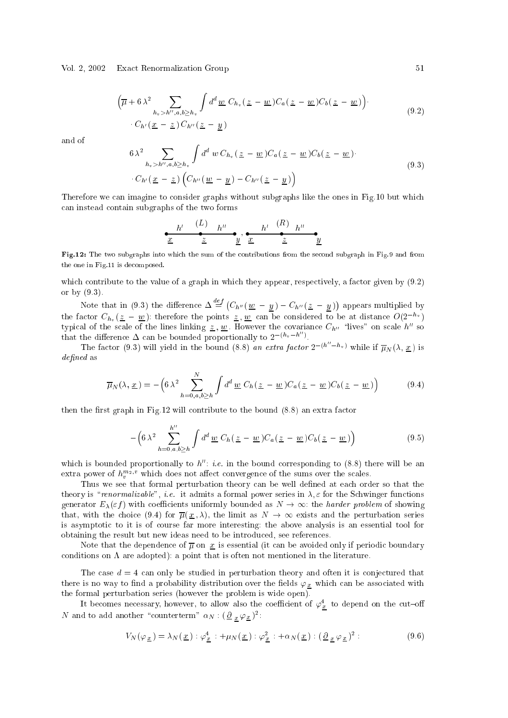Vol. 2, 2002 Exact Renormalization Group 51

$$
\left(\overline{\mu} + 6\lambda^2 \sum_{h_v > h'', a, b \ge h_v} \int d^d \underline{w} \ C_{h_v} (\underline{z} - \underline{w}) C_a (\underline{z} - \underline{w}) C_b (\underline{z} - \underline{w})\right).
$$
\n
$$
\cdot C_{h'} (\underline{x} - \underline{z}) C_{h''} (\underline{z} - \underline{y})
$$
\n(9.2)

and of

$$
6\lambda^2 \sum_{h_v > h'', a, b \ge h_v} \int d^d w C_{h_v} (\underline{z} - \underline{w}) C_a (\underline{z} - \underline{w}) C_b (\underline{z} - \underline{w}).
$$
  
 
$$
\cdot C_{h'} (\underline{x} - \underline{z}) \left( C_{h''} (\underline{w} - \underline{y}) - C_{h''} (\underline{z} - \underline{y}) \right)
$$
 (9.3)

Therefore we can imagine to consider graphs without subgraphs like the ones in Fig.10 but which an instead ontain subgraphs of the two forms

$$
\bullet \frac{h' \quad (L)}{\underline{x}} \quad \frac{h''}{\underline{z}} \quad \frac{h''}{\underline{y}} \quad \frac{h' \quad (R)}{\underline{x}} \quad \frac{h''}{\underline{z}} \quad \frac{h''}{\underline{y}}
$$

Fig.12: The two subgraphs into whi
h the sum of the ontributions from the se
ond subgraph in Fig.9 and from the one in Fig.11 is de
omposed.

which contribute to the value of a graph in which they appear, respectively, a factor given by  $(9.2)$ or by  $(9.3)$ .

Note that in (9.3) the difference  $\Delta \equiv$  $(C_{h''}(\underline{w} - y) - C_{h''}(\underline{z} - y))$ appears multiplied by the contract of the contract of the contract of the contract of the contract of the contract of the contract of the contract of the contract of the contract of the contract of the contract of the cont the factor  $C_{h_v}(\underline{z}-\underline{w})$ : therefore the points  $\underline{z}, \underline{w}$  can be considered to be at distance  $O(2^{-h_v})$ typical of the scale of the lines linking  $\underline{z}$ ,  $\underline{w}$ . However the covariance  $C_{h''}$  "lives" on scale  $h''$  so that the difference  $\Delta$  can be bounded proportionally to  $2^{-(n_v - n_v)}$ .

The factor (9.3) will yield in the bound (8.8) an extra factor  $2^{-(n-n_v)}$  while if  $\overline{\mu}_N(\lambda, \underline{x})$  is  $defined$  as

$$
\overline{\mu}_N(\lambda, \underline{x}) = -\left(6\lambda^2 \sum_{h=0, a, b \ge h}^{N} \int d^d \underline{w} \ C_h(\underline{z} - \underline{w}) C_a(\underline{z} - \underline{w}) C_b(\underline{z} - \underline{w})\right) \tag{9.4}
$$

then the first graph in Fig.12 will contribute to the bound  $(8.8)$  an extra factor

$$
-\left(6\lambda^2 \sum_{h=0,a,b\geq h}^{h''}\int d^d \underline{w} C_h(\underline{z}-\underline{w})C_a(\underline{z}-\underline{w})C_b(\underline{z}-\underline{w})\right) \tag{9.5}
$$

which is bounded proportionally to  $h''$ : *i.e.* in the bound corresponding to  $(8.8)$  there will be an extra power of  $h_v^{m_2,v}$  which does not affect convergence of the sums over the scales.

Thus we see that formal perturbation theory can be well defined at each order so that the theory is "renormalizable", i.e. it admits a formal power series in  $\lambda, \varepsilon$  for the Schwinger functions generator  $E_{\lambda}(\varepsilon f)$  with coefficients uniformly bounded as  $N \to \infty$ : the *harder problem* of showing that, with the choice (9.4) for  $\overline{\mu}(x, \lambda)$ , the limit as  $N \to \infty$  exists and the perturbation series is asymptotic to it is of course far more interesting: the above analysis is an essential tool for obtaining the result but new ideas need to be introdu
ed, see referen
es.

Note that the dependence of  $\overline{\mu}$  on  $\underline{x}$  is essential (it can be avoided only if periodic boundary conditions on  $\Lambda$  are adopted): a point that is often not mentioned in the literature.

The case  $d = 4$  can only be studied in perturbation theory and often it is conjectured that there is no way to find a probability distribution over the fields  $\varphi_x$  which can be associated with the formal perturbation series (however the problem is wide open).

It becomes necessary, nowever, to allow also the coefficient of  $\varphi^{\ast}_x$  to depend on the cut—off N and to add another "counterterm"  $\alpha_N : (\underline{\partial}_x \varphi_x)^2$ :

$$
V_N(\varphi_{\underline{x}}) = \lambda_N(\underline{x}) : \varphi_{\underline{x}}^4 : +\mu_N(\underline{x}) : \varphi_{\underline{x}}^2 : +\alpha_N(\underline{x}) : (\underline{\partial}_{\underline{x}} \varphi_{\underline{x}})^2 :
$$
\n(9.6)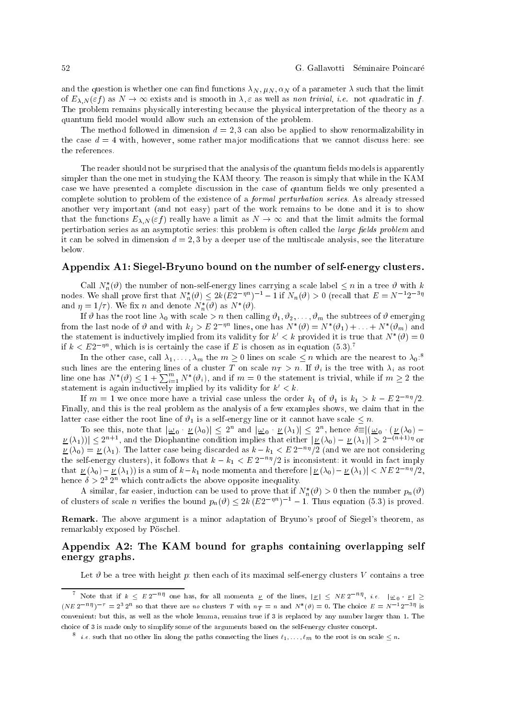and the question is whether one can find functions  $\lambda_N, \mu_N, \alpha_N$  of a parameter  $\lambda$  such that the limit of  $E_{\lambda N}(\varepsilon f)$  as  $N \to \infty$  exists and is smooth in  $\lambda, \varepsilon$  as well as non trivial, i.e. not quadratic in f. The problem remains physically interesting because the physical interpretation of the theory as a quantum field model would allow such an extension of the problem.

The method followed in dimension  $d = 2, 3$  can also be applied to show renormalizability in the case  $d = 4$  with, however, some rather major modifications that we cannot discuss here: see the referen
es.

The reader should not be surprised that the analysis of the quantum fields models is apparently simpler than the one met in studying the KAM theory. The reason is simply that while in the KAM case we have presented a complete discussion in the case of quantum fields we only presented a complete solution to problem of the existence of a *formal perturbation series*. As already stressed another very important (and not easy) part of the work remains to be done and it is to show that the functions  $E_{\lambda,N}(\varepsilon f)$  really have a limit as  $N \to \infty$  and that the limit admits the formal pertirbation series as an asymptotic series: this problem is often called the *large fields problem* and it can be solved in dimension  $d = 2, 3$  by a deeper use of the multiscale analysis, see the literature below.

### Appendix A1: Siegel-Bryuno bound on the number of self-energy lusters.

Call  $N_n^*(\theta)$  the number of non-self-energy lines carrying a scale label  $\leq n$  in a tree  $\theta$  with k nodes. We shall prove first that  $N_n^*(\vartheta) \leq 2k(E2^{-\eta n})^{-1} - 1$  if  $N_n(\vartheta) > 0$  (recall that  $E = N^{-1}2^{-3\eta}$ and  $\eta = 1/\tau$ ). We fix n and denote  $N_n^*(\theta)$  as  $N^*(\theta)$ .

If  $\vartheta$  has the root line  $\lambda_0$  with scale  $>n$  then calling  $\vartheta_1, \vartheta_2, \ldots, \vartheta_m$  the subtrees of  $\vartheta$  emerging from the last node of  $\vartheta$  and with  $k_j > E 2^{-\eta n}$  lines, one has  $N^*(\vartheta) = N^*(\vartheta_1) + \ldots + N^*(\vartheta_m)$  and the statement is inductively implied from its validity for  $k' < k$  provided it is true that  $N^*(\vartheta) = 0$ if  $k < E2^{-\eta n}$ , which is is certainly the case if E is chosen as in equation (5.3).

In the other case, call  $\lambda_1, \ldots, \lambda_m$  the  $m \geq 0$  lines on scale  $\leq n$  which are the nearest to  $\lambda_0$ .<sup>8</sup> such lines are the entering lines of a cluster T on scale  $n_T > n$ . If  $\vartheta_i$  is the tree with  $\lambda_i$  as root line one has  $N^*(\theta) \leq 1 + \sum_{i=1}^m N^*(\theta_i)$ , and if  $m = 0$  the statement is trivial, while if  $m \geq 2$  the statement is again inductively implied by its validity for  $k' < k$ .

If  $m = 1$  we once more have a trivial case unless the order  $k_1$  of  $\vartheta_1$  is  $k_1 > k - E 2^{-n\eta}/2$ . Finally, and this is the real problem as the analysis of a few examples shows, we laim that in the latter case either the root line of  $\vartheta_1$  is a self-energy line or it cannot have scale  $\leq n$ .

To see this, note that  $|\underline{\omega}_0 \cdot \underline{\nu}(\lambda_0)| \leq 2^n$  and  $|\underline{\omega}_0 \cdot \underline{\nu}(\lambda_1)| \leq 2^n$ , hence  $\delta \equiv |(\underline{\omega}_0 \cdot (\underline{\nu}(\lambda_0) - \underline{\nu}(\lambda_0))|$  $|\underline{\nu}(\lambda_1)| \leq 2^{n+1}$ , and the Diophantine condition implies that either  $|\underline{\nu}(\lambda_0) - \underline{\nu}(\lambda_1)| > 2^{-(n+1)\eta}$  or  $\underline{\nu}\left(\lambda_{0}\right)=\underline{\nu}\left(\lambda_{1}\right)$ . The latter case being discarded as  $k-k_{1} < E\,2^{-n\eta}/2$  (and we are not considering the self-energy clusters), it follows that  $k - k_1 < E 2^{-n\eta}/2$  is inconsistent: it would in fact imply that  $\underline{\nu}(\lambda_0) - \underline{\nu}(\lambda_1)$  is a sum of  $k-k_1$  node momenta and therefore  $|\underline{\nu}(\lambda_0) - \underline{\nu}(\lambda_1)| < NE \, 2^{-n\eta}/2,$ hence  $\delta > 2^3 2^n$  which contradicts the above opposite inequality.

A similar, far easier, induction can be used to prove that if  $N_n^*(\theta) > 0$  then the number  $p_n(\theta)$ of clusters of scale *n* verifies the bound  $p_n(\theta) \leq 2k (E2^{-\eta n})^{-1} - 1$ . Thus equation (5.3) is proved.

Remark. The above argument is a minor adaptation of Bryuno's proof of Siegel's theorem, as remarkably exposed by Pöschel.

# Appendix A2: The KAM bound for graphs ontaining overlapping self energy graphs.

Let  $\vartheta$  be a tree with height p: then each of its maximal self-energy clusters V contains a tree

Note that if  $k~\leq~E~2$  and one has, for all momenta  $\vert \underline{\nu} \vert$  of the lines,  $\vert \underline{\nu} \vert ~\leq~ N E~2$  and  $\vert \underline{\nu} \vert$  are.  $\vert \underline{\omega}_0 \vert$  and  $\underline{\nu} \vert ~\geq$ (NE 2  $\cdots$ )  $\equiv$  23  $\cdots$  so that there are no clusters T with  $n_T = n$  and N  $(v) = 0$ . The choice  $E = N$  32  $\cdots$  is convenient: but this, as well as the whole lemma, remains true if 3 is replaced by any number larger than 1. The choice of 3 is made only to simplify some of the arguments based on the self-energy cluster concept.

 $^{\circ}$  i.e. such that no other lin along the paths connecting the lines  $\ell_1,\ldots,\ell_m$  to the root is on scale  $\leq n.$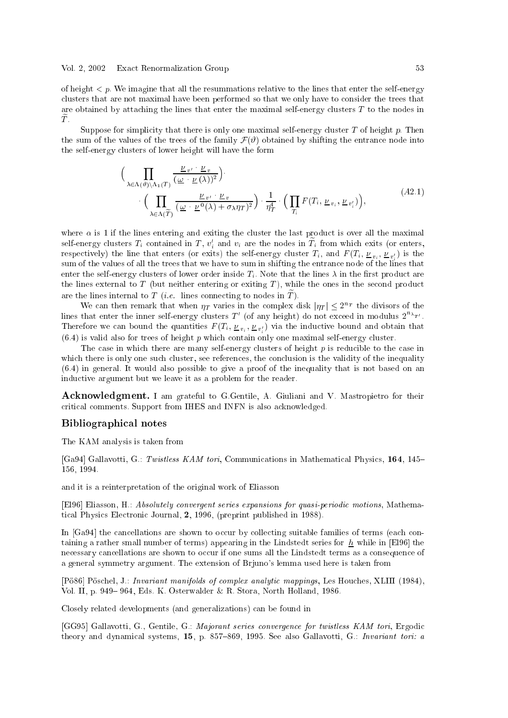#### Vol. 2, 2002 Exa
t Renormalization Group 53

of height  $\lt p$ . We imagine that all the resummations relative to the lines that enter the self-energy clusters that are not maximal have been performed so that we only have to consider the trees that are obtained by attaching the lines that enter the maximal self-energy clusters  $T$  to the nodes in  $\widetilde{T}$ .

Suppose for simplicity that there is only one maximal self-energy cluster  $T$  of height  $p$ . Then the sum of the values of the trees of the family  $\mathcal{F}(\vartheta)$  obtained by shifting the entrance node into the self-energy lusters of lower height will have the form

$$
\Big(\prod_{\lambda \in \Lambda(\vartheta) \setminus \Lambda_1(T)} \frac{\underline{\nu}_{v'} \cdot \underline{\nu}_{v}}{(\underline{\omega} \cdot \underline{\nu}(\lambda))^2}\Big) \cdot \Big(\prod_{\lambda \in \Lambda(\widetilde{T})} \frac{\underline{\nu}_{v'} \cdot \underline{\nu}_{v}}{(\underline{\omega} \cdot \underline{\nu}^0(\lambda) + \sigma_{\lambda}\eta_T)^2}\Big) \cdot \frac{1}{\eta_T^4} \cdot \Big(\prod_{T_i} F(T_i, \underline{\nu}_{v_i}, \underline{\nu}_{v'_i})\Big),\tag{A2.1}
$$

where  $\alpha$  is 1 if the lines entering and exiting the cluster the last product is over all the maximal self-energy clusters  $T_i$  contained in  $T, v_i'$  and  $v_i$  are the nodes in  $T_i$  from which exits (or enters, respectively) the line that enters (or exits) the self-energy cluster  $T_i$ , and  $F(T_i, \underline{\nu}_{v_i}, \underline{\nu}_{v'_i})$  is the sum of the values of all the trees that we have to sum in shifting the entrance node of the lines that enter the self-energy clusters of lower order inside  $T_i$ . Note that the lines  $\lambda$  in the first product are the lines external to  $T$  (but neither entering or exiting  $T$ ), while the ones in the second product are the lines internal to T (*i.e.* lines connecting to nodes in  $\tilde{T}$ ).

We can then remark that when  $\eta_T$  varies in the complex disk  $|\eta_T| \leq 2^{nT}$  the divisors of the lines that enter the inner self-energy clusters T' (of any height) do not exceed in modulus  $2^{n_{\lambda_{T'}}}$ . Therefore we can bound the quantities  $F(T_i, \underline{\nu}_{v_i}, \underline{\nu}_{v'_i})$  via the inductive bound and obtain that  $(6.4)$  is valid also for trees of height p which contain only one maximal self-energy cluster.

The case in which there are many self-energy clusters of height  $p$  is reducible to the case in which there is only one such cluster, see references, the conclusion is the validity of the inequality (6.4) in general. It would also possible to give a proof of the inequality that is not based on an indu
tive argument but we leave it as a problem for the reader.

Acknowledgment. I am grateful to G.Gentile, A. Giuliani and V. Mastropietro for their riti
al omments. Support from IHES and INFN is also a
knowledged.

# Bibliographi
al notes

The KAM analysis is taken from

[Ga94] Gallavotti, G.: Twistless KAM tori, Communications in Mathematical Physics, 164, 145– 156, 1994.

and it is a reinterpretation of the original work of Eliasson

[El96] Eliasson, H.: Absolutely convergent series expansions for quasi-periodic motions, Mathematical Physics Electronic Journal, 2, 1996, (preprint published in 1988).

In  $[Ga94]$  the cancellations are shown to occur by collecting suitable families of terms (each containing a rather small number of terms) appearing in the Lindstedt series for  $h$  while in [El96] the necessary cancellations are shown to occur if one sums all the Lindstedt terms as a consequence of a general symmetry argument. The extension of Brjuno's lemma used here is taken from

[Pö86] Pöschel, J.: Invariant manifolds of complex analytic mappings, Les Houches, XLIII (1984), Vol. II, p. 949-964, Eds. K. Osterwalder & R. Stora, North Holland, 1986.

Closely related developments (and generalizations) an be found in

[GG95] Gallavotti, G., Gentile, G.: Majorant series convergence for twistless KAM tori, Ergodic theory and dynamical systems,  $15$ , p. 857-869, 1995. See also Gallavotti, G.: Invariant tori: a